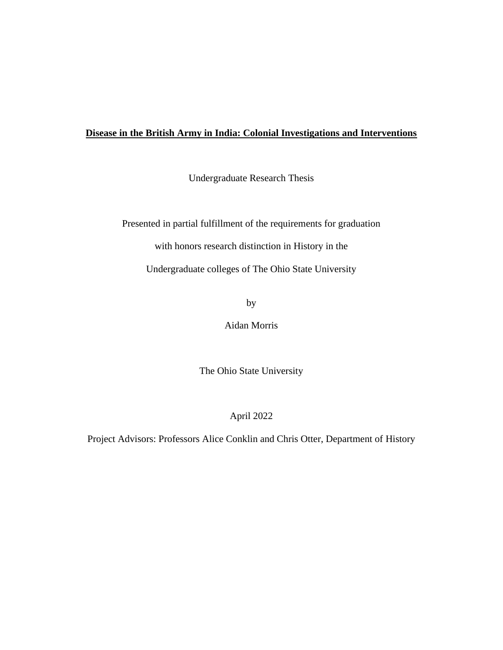# **Disease in the British Army in India: Colonial Investigations and Interventions**

Undergraduate Research Thesis

Presented in partial fulfillment of the requirements for graduation with honors research distinction in History in the

Undergraduate colleges of The Ohio State University

by

Aidan Morris

The Ohio State University

April 2022

Project Advisors: Professors Alice Conklin and Chris Otter, Department of History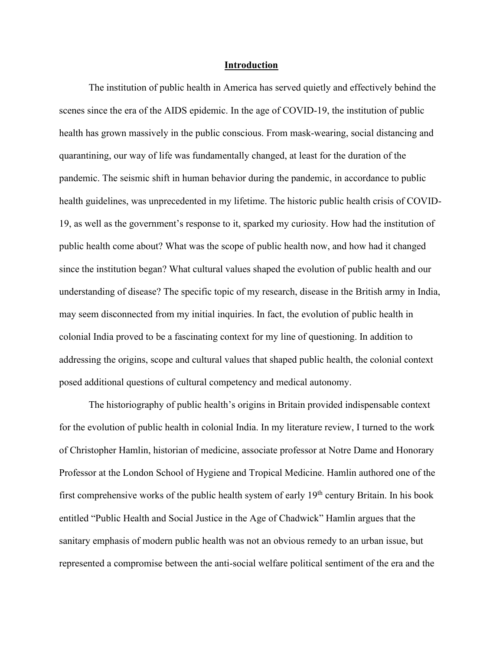#### **Introduction**

The institution of public health in America has served quietly and effectively behind the scenes since the era of the AIDS epidemic. In the age of COVID-19, the institution of public health has grown massively in the public conscious. From mask-wearing, social distancing and quarantining, our way of life was fundamentally changed, at least for the duration of the pandemic. The seismic shift in human behavior during the pandemic, in accordance to public health guidelines, was unprecedented in my lifetime. The historic public health crisis of COVID-19, as well as the government's response to it, sparked my curiosity. How had the institution of public health come about? What was the scope of public health now, and how had it changed since the institution began? What cultural values shaped the evolution of public health and our understanding of disease? The specific topic of my research, disease in the British army in India, may seem disconnected from my initial inquiries. In fact, the evolution of public health in colonial India proved to be a fascinating context for my line of questioning. In addition to addressing the origins, scope and cultural values that shaped public health, the colonial context posed additional questions of cultural competency and medical autonomy.

The historiography of public health's origins in Britain provided indispensable context for the evolution of public health in colonial India. In my literature review, I turned to the work of Christopher Hamlin, historian of medicine, associate professor at Notre Dame and Honorary Professor at the London School of Hygiene and Tropical Medicine. Hamlin authored one of the first comprehensive works of the public health system of early  $19<sup>th</sup>$  century Britain. In his book entitled "Public Health and Social Justice in the Age of Chadwick" Hamlin argues that the sanitary emphasis of modern public health was not an obvious remedy to an urban issue, but represented a compromise between the anti-social welfare political sentiment of the era and the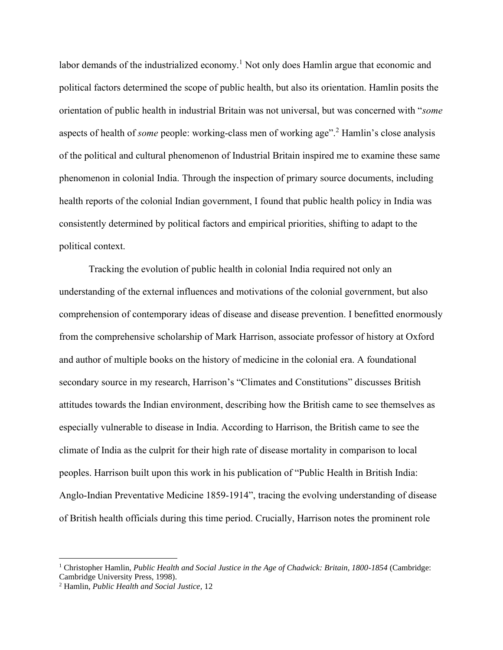labor demands of the industrialized economy.<sup>1</sup> Not only does Hamlin argue that economic and political factors determined the scope of public health, but also its orientation. Hamlin posits the orientation of public health in industrial Britain was not universal, but was concerned with "*some*  aspects of health of *some* people: working-class men of working age".<sup>2</sup> Hamlin's close analysis of the political and cultural phenomenon of Industrial Britain inspired me to examine these same phenomenon in colonial India. Through the inspection of primary source documents, including health reports of the colonial Indian government, I found that public health policy in India was consistently determined by political factors and empirical priorities, shifting to adapt to the political context.

Tracking the evolution of public health in colonial India required not only an understanding of the external influences and motivations of the colonial government, but also comprehension of contemporary ideas of disease and disease prevention. I benefitted enormously from the comprehensive scholarship of Mark Harrison, associate professor of history at Oxford and author of multiple books on the history of medicine in the colonial era. A foundational secondary source in my research, Harrison's "Climates and Constitutions" discusses British attitudes towards the Indian environment, describing how the British came to see themselves as especially vulnerable to disease in India. According to Harrison, the British came to see the climate of India as the culprit for their high rate of disease mortality in comparison to local peoples. Harrison built upon this work in his publication of "Public Health in British India: Anglo-Indian Preventative Medicine 1859-1914", tracing the evolving understanding of disease of British health officials during this time period. Crucially, Harrison notes the prominent role

<sup>1</sup> Christopher Hamlin, *Public Health and Social Justice in the Age of Chadwick: Britain, 1800-1854* (Cambridge: Cambridge University Press, 1998).

<sup>2</sup> Hamlin, *Public Health and Social Justice,* 12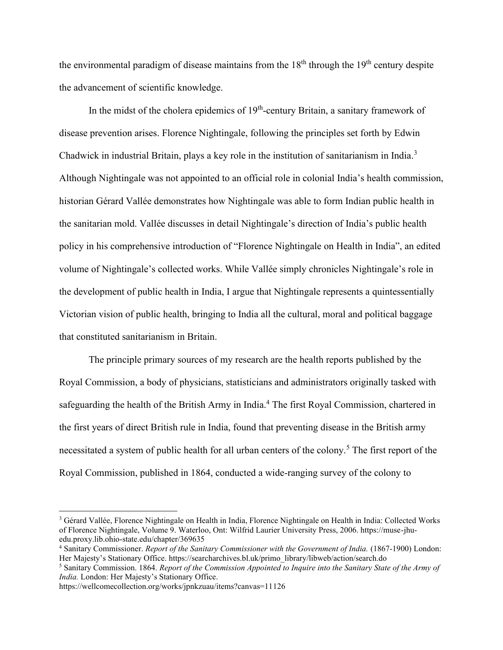the environmental paradigm of disease maintains from the  $18<sup>th</sup>$  through the  $19<sup>th</sup>$  century despite the advancement of scientific knowledge.

In the midst of the cholera epidemics of 19<sup>th</sup>-century Britain, a sanitary framework of disease prevention arises. Florence Nightingale, following the principles set forth by Edwin Chadwick in industrial Britain, plays a key role in the institution of sanitarianism in India.<sup>3</sup> Although Nightingale was not appointed to an official role in colonial India's health commission, historian Gérard Vallée demonstrates how Nightingale was able to form Indian public health in the sanitarian mold. Vallée discusses in detail Nightingale's direction of India's public health policy in his comprehensive introduction of "Florence Nightingale on Health in India", an edited volume of Nightingale's collected works. While Vallée simply chronicles Nightingale's role in the development of public health in India, I argue that Nightingale represents a quintessentially Victorian vision of public health, bringing to India all the cultural, moral and political baggage that constituted sanitarianism in Britain.

The principle primary sources of my research are the health reports published by the Royal Commission, a body of physicians, statisticians and administrators originally tasked with safeguarding the health of the British Army in India.<sup>4</sup> The first Royal Commission, chartered in the first years of direct British rule in India, found that preventing disease in the British army necessitated a system of public health for all urban centers of the colony.<sup>5</sup> The first report of the Royal Commission, published in 1864, conducted a wide-ranging survey of the colony to

https://wellcomecollection.org/works/jpnkzuau/items?canvas=11126

<sup>3</sup> Gérard Vallée, Florence Nightingale on Health in India, Florence Nightingale on Health in India: Collected Works of Florence Nightingale, Volume 9. Waterloo, Ont: Wilfrid Laurier University Press, 2006. https://muse-jhuedu.proxy.lib.ohio-state.edu/chapter/369635

<sup>4</sup> Sanitary Commissioner. *Report of the Sanitary Commissioner with the Government of India.* (1867-1900) London: Her Majesty's Stationary Office. https://searcharchives.bl.uk/primo\_library/libweb/action/search.do

<sup>5</sup> Sanitary Commission. 1864. *Report of the Commission Appointed to Inquire into the Sanitary State of the Army of India.* London: Her Majesty's Stationary Office.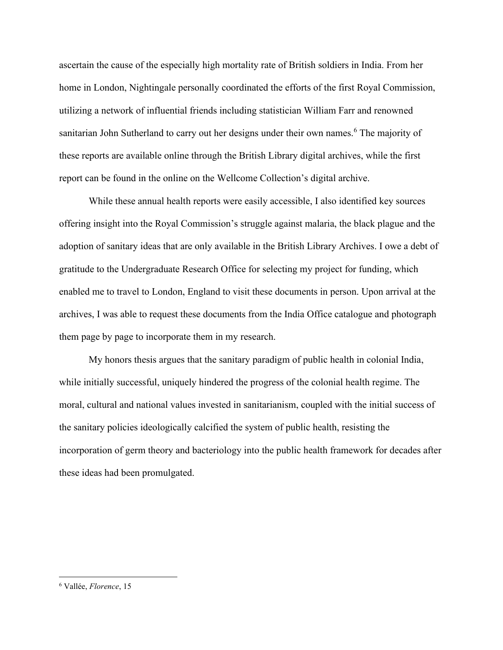ascertain the cause of the especially high mortality rate of British soldiers in India. From her home in London, Nightingale personally coordinated the efforts of the first Royal Commission, utilizing a network of influential friends including statistician William Farr and renowned sanitarian John Sutherland to carry out her designs under their own names.<sup>6</sup> The majority of these reports are available online through the British Library digital archives, while the first report can be found in the online on the Wellcome Collection's digital archive.

While these annual health reports were easily accessible, I also identified key sources offering insight into the Royal Commission's struggle against malaria, the black plague and the adoption of sanitary ideas that are only available in the British Library Archives. I owe a debt of gratitude to the Undergraduate Research Office for selecting my project for funding, which enabled me to travel to London, England to visit these documents in person. Upon arrival at the archives, I was able to request these documents from the India Office catalogue and photograph them page by page to incorporate them in my research.

My honors thesis argues that the sanitary paradigm of public health in colonial India, while initially successful, uniquely hindered the progress of the colonial health regime. The moral, cultural and national values invested in sanitarianism, coupled with the initial success of the sanitary policies ideologically calcified the system of public health, resisting the incorporation of germ theory and bacteriology into the public health framework for decades after these ideas had been promulgated.

<sup>6</sup> Vallée, *Florence*, 15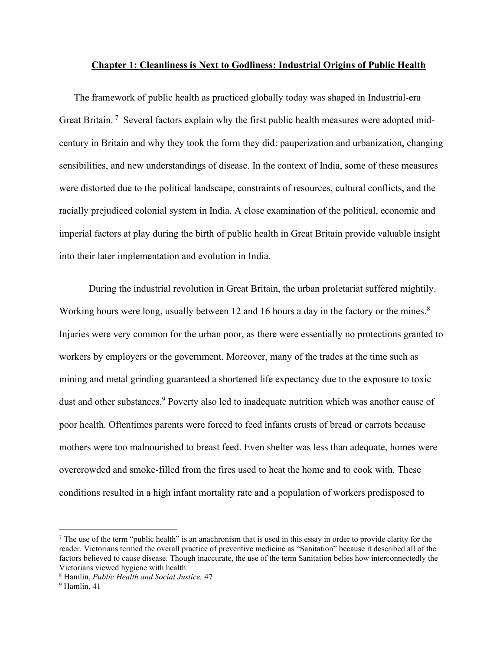### **Chapter 1: Cleanliness is Next to Godliness: Industrial Origins of Public Health**

The framework of public health as practiced globally today was shaped in Industrial-era Great Britain.<sup>7</sup> Several factors explain why the first public health measures were adopted midcentury in Britain and why they took the form they did: pauperization and urbanization, changing sensibilities, and new understandings of disease. In the context of India, some of these measures were distorted due to the political landscape, constraints of resources, cultural conflicts, and the racially prejudiced colonial system in India. A close examination of the political, economic and imperial factors at play during the birth of public health in Great Britain provide valuable insight into their later implementation and evolution in India.

During the industrial revolution in Great Britain, the urban proletariat suffered mightily. Working hours were long, usually between 12 and 16 hours a day in the factory or the mines.<sup>8</sup> Injuries were very common for the urban poor, as there were essentially no protections granted to workers by employers or the government. Moreover, many of the trades at the time such as mining and metal grinding guaranteed a shortened life expectancy due to the exposure to toxic dust and other substances.<sup>9</sup> Poverty also led to inadequate nutrition which was another cause of poor health. Oftentimes parents were forced to feed infants crusts of bread or carrots because mothers were too malnourished to breast feed. Even shelter was less than adequate, homes were overcrowded and smoke-filled from the fires used to heat the home and to cook with. These conditions resulted in a high infant mortality rate and a population of workers predisposed to

 $<sup>7</sup>$  The use of the term "public health" is an anachronism that is used in this essay in order to provide clarity for the</sup> reader. Victorians termed the overall practice of preventive medicine as "Sanitation" because it described all of the factors believed to cause disease. Though inaccurate, the use of the term Sanitation belies how interconnectedly the Victorians viewed hygiene with health.

<sup>8</sup> Hamlin, *Public Health and Social Justice,* 47

<sup>9</sup> Hamlin, 41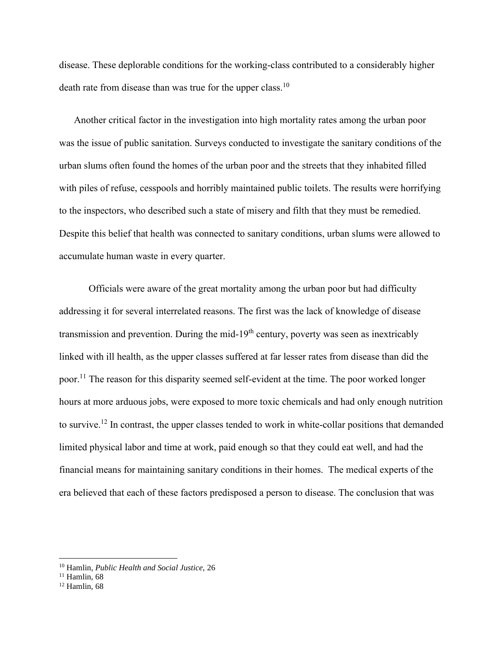disease. These deplorable conditions for the working-class contributed to a considerably higher death rate from disease than was true for the upper class.<sup>10</sup>

Another critical factor in the investigation into high mortality rates among the urban poor was the issue of public sanitation. Surveys conducted to investigate the sanitary conditions of the urban slums often found the homes of the urban poor and the streets that they inhabited filled with piles of refuse, cesspools and horribly maintained public toilets. The results were horrifying to the inspectors, who described such a state of misery and filth that they must be remedied. Despite this belief that health was connected to sanitary conditions, urban slums were allowed to accumulate human waste in every quarter.

Officials were aware of the great mortality among the urban poor but had difficulty addressing it for several interrelated reasons. The first was the lack of knowledge of disease transmission and prevention. During the mid-19<sup>th</sup> century, poverty was seen as inextricably linked with ill health, as the upper classes suffered at far lesser rates from disease than did the poor.<sup>11</sup> The reason for this disparity seemed self-evident at the time. The poor worked longer hours at more arduous jobs, were exposed to more toxic chemicals and had only enough nutrition to survive.<sup>12</sup> In contrast, the upper classes tended to work in white-collar positions that demanded limited physical labor and time at work, paid enough so that they could eat well, and had the financial means for maintaining sanitary conditions in their homes. The medical experts of the era believed that each of these factors predisposed a person to disease. The conclusion that was

<sup>10</sup> Hamlin, *Public Health and Social Justice,* 26

 $11$  Hamlin, 68

 $12$  Hamlin, 68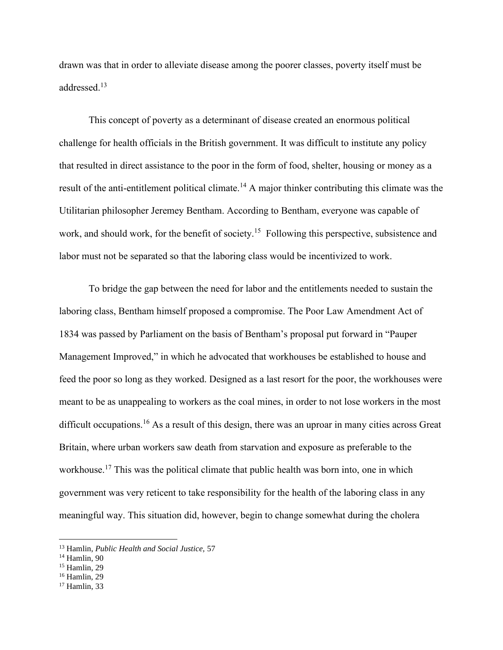drawn was that in order to alleviate disease among the poorer classes, poverty itself must be addressed.<sup>13</sup>

This concept of poverty as a determinant of disease created an enormous political challenge for health officials in the British government. It was difficult to institute any policy that resulted in direct assistance to the poor in the form of food, shelter, housing or money as a result of the anti-entitlement political climate.<sup>14</sup> A major thinker contributing this climate was the Utilitarian philosopher Jeremey Bentham. According to Bentham, everyone was capable of work, and should work, for the benefit of society.<sup>15</sup> Following this perspective, subsistence and labor must not be separated so that the laboring class would be incentivized to work.

To bridge the gap between the need for labor and the entitlements needed to sustain the laboring class, Bentham himself proposed a compromise. The Poor Law Amendment Act of 1834 was passed by Parliament on the basis of Bentham's proposal put forward in "Pauper Management Improved," in which he advocated that workhouses be established to house and feed the poor so long as they worked. Designed as a last resort for the poor, the workhouses were meant to be as unappealing to workers as the coal mines, in order to not lose workers in the most difficult occupations.<sup>16</sup> As a result of this design, there was an uproar in many cities across Great Britain, where urban workers saw death from starvation and exposure as preferable to the workhouse.<sup>17</sup> This was the political climate that public health was born into, one in which government was very reticent to take responsibility for the health of the laboring class in any meaningful way. This situation did, however, begin to change somewhat during the cholera

<sup>13</sup> Hamlin, *Public Health and Social Justice,* 57

 $14$  Hamlin, 90

<sup>&</sup>lt;sup>15</sup> Hamlin, 29

<sup>16</sup> Hamlin, 29

<sup>17</sup> Hamlin, 33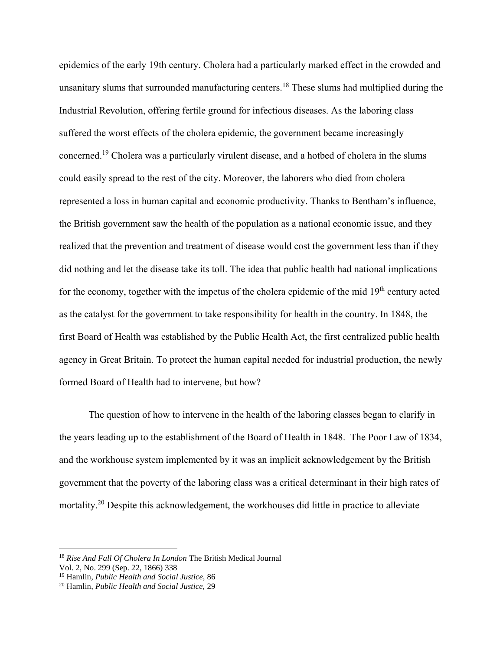epidemics of the early 19th century. Cholera had a particularly marked effect in the crowded and unsanitary slums that surrounded manufacturing centers.<sup>18</sup> These slums had multiplied during the Industrial Revolution, offering fertile ground for infectious diseases. As the laboring class suffered the worst effects of the cholera epidemic, the government became increasingly concerned.<sup>19</sup> Cholera was a particularly virulent disease, and a hotbed of cholera in the slums could easily spread to the rest of the city. Moreover, the laborers who died from cholera represented a loss in human capital and economic productivity. Thanks to Bentham's influence, the British government saw the health of the population as a national economic issue, and they realized that the prevention and treatment of disease would cost the government less than if they did nothing and let the disease take its toll. The idea that public health had national implications for the economy, together with the impetus of the cholera epidemic of the mid  $19<sup>th</sup>$  century acted as the catalyst for the government to take responsibility for health in the country. In 1848, the first Board of Health was established by the Public Health Act, the first centralized public health agency in Great Britain. To protect the human capital needed for industrial production, the newly formed Board of Health had to intervene, but how?

The question of how to intervene in the health of the laboring classes began to clarify in the years leading up to the establishment of the Board of Health in 1848. The Poor Law of 1834, and the workhouse system implemented by it was an implicit acknowledgement by the British government that the poverty of the laboring class was a critical determinant in their high rates of mortality.<sup>20</sup> Despite this acknowledgement, the workhouses did little in practice to alleviate

<sup>18</sup> *Rise And Fall Of Cholera In London* The British Medical Journal

Vol. 2, No. 299 (Sep. 22, 1866) 338

<sup>19</sup> Hamlin, *Public Health and Social Justice,* 86

<sup>20</sup> Hamlin, *Public Health and Social Justice,* 29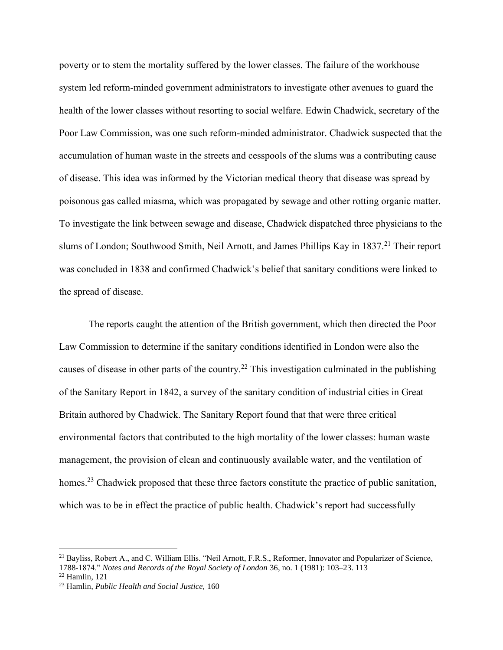poverty or to stem the mortality suffered by the lower classes. The failure of the workhouse system led reform-minded government administrators to investigate other avenues to guard the health of the lower classes without resorting to social welfare. Edwin Chadwick, secretary of the Poor Law Commission, was one such reform-minded administrator. Chadwick suspected that the accumulation of human waste in the streets and cesspools of the slums was a contributing cause of disease. This idea was informed by the Victorian medical theory that disease was spread by poisonous gas called miasma, which was propagated by sewage and other rotting organic matter. To investigate the link between sewage and disease, Chadwick dispatched three physicians to the slums of London; Southwood Smith, Neil Arnott, and James Phillips Kay in  $1837<sup>21</sup>$  Their report was concluded in 1838 and confirmed Chadwick's belief that sanitary conditions were linked to the spread of disease.

The reports caught the attention of the British government, which then directed the Poor Law Commission to determine if the sanitary conditions identified in London were also the causes of disease in other parts of the country.<sup>22</sup> This investigation culminated in the publishing of the Sanitary Report in 1842, a survey of the sanitary condition of industrial cities in Great Britain authored by Chadwick. The Sanitary Report found that that were three critical environmental factors that contributed to the high mortality of the lower classes: human waste management, the provision of clean and continuously available water, and the ventilation of homes.<sup>23</sup> Chadwick proposed that these three factors constitute the practice of public sanitation, which was to be in effect the practice of public health. Chadwick's report had successfully

<sup>&</sup>lt;sup>21</sup> Bayliss, Robert A., and C. William Ellis. "Neil Arnott, F.R.S., Reformer, Innovator and Popularizer of Science, 1788-1874." *Notes and Records of the Royal Society of London* 36, no. 1 (1981): 103–23. 113

 $22$  Hamlin, 121

<sup>23</sup> Hamlin, *Public Health and Social Justice,* 160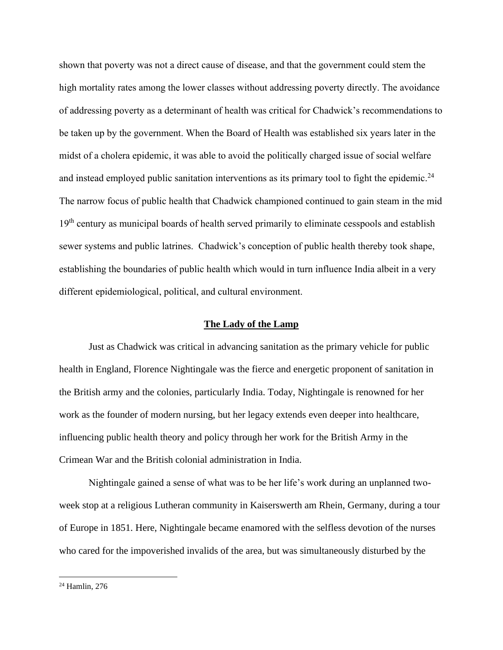shown that poverty was not a direct cause of disease, and that the government could stem the high mortality rates among the lower classes without addressing poverty directly. The avoidance of addressing poverty as a determinant of health was critical for Chadwick's recommendations to be taken up by the government. When the Board of Health was established six years later in the midst of a cholera epidemic, it was able to avoid the politically charged issue of social welfare and instead employed public sanitation interventions as its primary tool to fight the epidemic.<sup>24</sup> The narrow focus of public health that Chadwick championed continued to gain steam in the mid 19<sup>th</sup> century as municipal boards of health served primarily to eliminate cesspools and establish sewer systems and public latrines. Chadwick's conception of public health thereby took shape, establishing the boundaries of public health which would in turn influence India albeit in a very different epidemiological, political, and cultural environment.

### **The Lady of the Lamp**

Just as Chadwick was critical in advancing sanitation as the primary vehicle for public health in England, Florence Nightingale was the fierce and energetic proponent of sanitation in the British army and the colonies, particularly India. Today, Nightingale is renowned for her work as the founder of modern nursing, but her legacy extends even deeper into healthcare, influencing public health theory and policy through her work for the British Army in the Crimean War and the British colonial administration in India.

Nightingale gained a sense of what was to be her life's work during an unplanned twoweek stop at a religious Lutheran community in Kaiserswerth am Rhein, Germany, during a tour of Europe in 1851. Here, Nightingale became enamored with the selfless devotion of the nurses who cared for the impoverished invalids of the area, but was simultaneously disturbed by the

<sup>24</sup> Hamlin, 276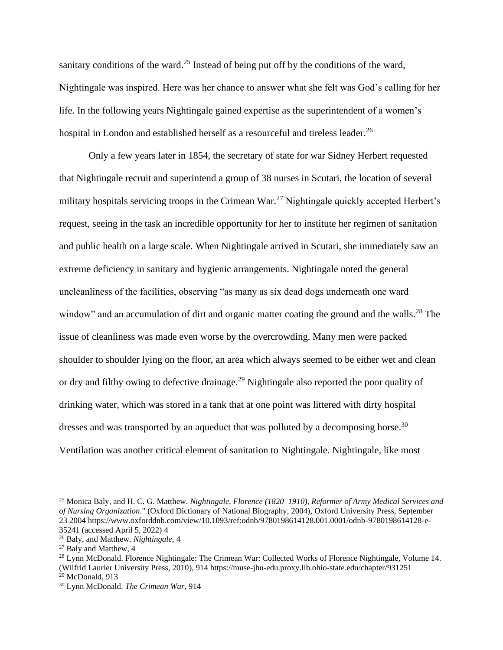sanitary conditions of the ward.<sup>25</sup> Instead of being put off by the conditions of the ward, Nightingale was inspired. Here was her chance to answer what she felt was God's calling for her life. In the following years Nightingale gained expertise as the superintendent of a women's hospital in London and established herself as a resourceful and tireless leader.<sup>26</sup>

Only a few years later in 1854, the secretary of state for war Sidney Herbert requested that Nightingale recruit and superintend a group of 38 nurses in Scutari, the location of several military hospitals servicing troops in the Crimean War.<sup>27</sup> Nightingale quickly accepted Herbert's request, seeing in the task an incredible opportunity for her to institute her regimen of sanitation and public health on a large scale. When Nightingale arrived in Scutari, she immediately saw an extreme deficiency in sanitary and hygienic arrangements. Nightingale noted the general uncleanliness of the facilities, observing "as many as six dead dogs underneath one ward window" and an accumulation of dirt and organic matter coating the ground and the walls.<sup>28</sup> The issue of cleanliness was made even worse by the overcrowding. Many men were packed shoulder to shoulder lying on the floor, an area which always seemed to be either wet and clean or dry and filthy owing to defective drainage.<sup>29</sup> Nightingale also reported the poor quality of drinking water, which was stored in a tank that at one point was littered with dirty hospital dresses and was transported by an aqueduct that was polluted by a decomposing horse.<sup>30</sup> Ventilation was another critical element of sanitation to Nightingale. Nightingale, like most

<sup>25</sup> Monica Baly, and H. C. G. Matthew. *Nightingale, Florence (1820–1910), Reformer of Army Medical Services and of Nursing Organization*." (Oxford Dictionary of National Biography, 2004), Oxford University Press, September 23 2004 https://www.oxforddnb.com/view/10.1093/ref:odnb/9780198614128.001.0001/odnb-9780198614128-e-35241 (accessed April 5, 2022) 4

<sup>26</sup> Baly, and Matthew. *Nightingale,* 4

<sup>27</sup> Baly and Matthew, 4

<sup>&</sup>lt;sup>28</sup> Lynn McDonald. Florence Nightingale: The Crimean War: Collected Works of Florence Nightingale, Volume 14. (Wilfrid Laurier University Press, 2010), 914 https://muse-jhu-edu.proxy.lib.ohio-state.edu/chapter/931251

 $29$  McDonald, 913

<sup>30</sup> Lynn McDonald. *The Crimean War,* 914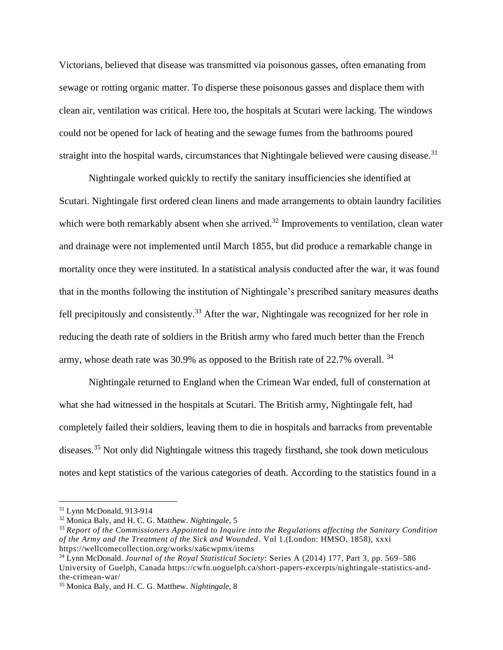Victorians, believed that disease was transmitted via poisonous gasses, often emanating from sewage or rotting organic matter. To disperse these poisonous gasses and displace them with clean air, ventilation was critical. Here too, the hospitals at Scutari were lacking. The windows could not be opened for lack of heating and the sewage fumes from the bathrooms poured straight into the hospital wards, circumstances that Nightingale believed were causing disease.<sup>31</sup>

Nightingale worked quickly to rectify the sanitary insufficiencies she identified at Scutari. Nightingale first ordered clean linens and made arrangements to obtain laundry facilities which were both remarkably absent when she arrived.<sup>32</sup> Improvements to ventilation, clean water and drainage were not implemented until March 1855, but did produce a remarkable change in mortality once they were instituted. In a statistical analysis conducted after the war, it was found that in the months following the institution of Nightingale's prescribed sanitary measures deaths fell precipitously and consistently.<sup>33</sup> After the war, Nightingale was recognized for her role in reducing the death rate of soldiers in the British army who fared much better than the French army, whose death rate was 30.9% as opposed to the British rate of 22.7% overall. <sup>34</sup>

Nightingale returned to England when the Crimean War ended, full of consternation at what she had witnessed in the hospitals at Scutari. The British army, Nightingale felt, had completely failed their soldiers, leaving them to die in hospitals and barracks from preventable diseases.<sup>35</sup> Not only did Nightingale witness this tragedy firsthand, she took down meticulous notes and kept statistics of the various categories of death. According to the statistics found in a

<sup>31</sup> Lynn McDonald, 913-914

<sup>32</sup> Monica Baly, and H. C. G. Matthew. *Nightingale,* 5

<sup>33</sup> *Report of the Commissioners Appointed to Inquire into the Regulations affecting the Sanitary Condition of the Army and the Treatment of the Sick and Wounded*. Vol 1.(London: HMSO, 1858), xxxi https://wellcomecollection.org/works/xa6cwpmx/items

<sup>34</sup> Lynn McDonald. *Journal of the Royal Statistical Society*: Series A (2014) 177, Part 3, pp. 569–586 University of Guelph, Canada https://cwfn.uoguelph.ca/short-papers-excerpts/nightingale-statistics-andthe-crimean-war/

<sup>35</sup> Monica Baly, and H. C. G. Matthew. *Nightingale,* 8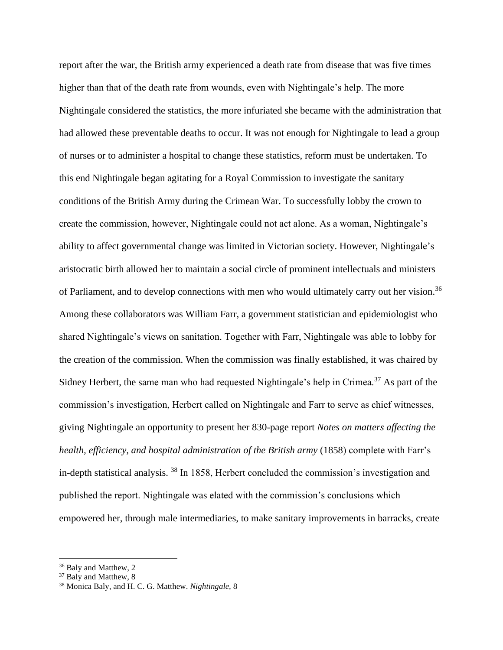report after the war, the British army experienced a death rate from disease that was five times higher than that of the death rate from wounds, even with Nightingale's help. The more Nightingale considered the statistics, the more infuriated she became with the administration that had allowed these preventable deaths to occur. It was not enough for Nightingale to lead a group of nurses or to administer a hospital to change these statistics, reform must be undertaken. To this end Nightingale began agitating for a Royal Commission to investigate the sanitary conditions of the British Army during the Crimean War. To successfully lobby the crown to create the commission, however, Nightingale could not act alone. As a woman, Nightingale's ability to affect governmental change was limited in Victorian society. However, Nightingale's aristocratic birth allowed her to maintain a social circle of prominent intellectuals and ministers of Parliament, and to develop connections with men who would ultimately carry out her vision.<sup>36</sup> Among these collaborators was William Farr, a government statistician and epidemiologist who shared Nightingale's views on sanitation. Together with Farr, Nightingale was able to lobby for the creation of the commission. When the commission was finally established, it was chaired by Sidney Herbert, the same man who had requested Nightingale's help in Crimea.<sup>37</sup> As part of the commission's investigation, Herbert called on Nightingale and Farr to serve as chief witnesses, giving Nightingale an opportunity to present her 830-page report *Notes on matters affecting the health, efficiency, and hospital administration of the British army* (1858) complete with Farr's in-depth statistical analysis. <sup>38</sup> In 1858, Herbert concluded the commission's investigation and published the report. Nightingale was elated with the commission's conclusions which empowered her, through male intermediaries, to make sanitary improvements in barracks, create

<sup>&</sup>lt;sup>36</sup> Baly and Matthew, 2

<sup>&</sup>lt;sup>37</sup> Baly and Matthew, 8

<sup>38</sup> Monica Baly, and H. C. G. Matthew. *Nightingale,* 8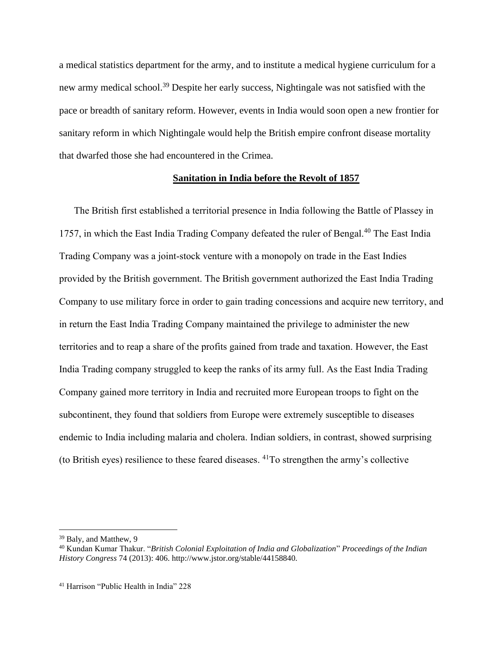a medical statistics department for the army, and to institute a medical hygiene curriculum for a new army medical school.<sup>39</sup> Despite her early success, Nightingale was not satisfied with the pace or breadth of sanitary reform. However, events in India would soon open a new frontier for sanitary reform in which Nightingale would help the British empire confront disease mortality that dwarfed those she had encountered in the Crimea.

### **Sanitation in India before the Revolt of 1857**

The British first established a territorial presence in India following the Battle of Plassey in 1757, in which the East India Trading Company defeated the ruler of Bengal.<sup>40</sup> The East India Trading Company was a joint-stock venture with a monopoly on trade in the East Indies provided by the British government. The British government authorized the East India Trading Company to use military force in order to gain trading concessions and acquire new territory, and in return the East India Trading Company maintained the privilege to administer the new territories and to reap a share of the profits gained from trade and taxation. However, the East India Trading company struggled to keep the ranks of its army full. As the East India Trading Company gained more territory in India and recruited more European troops to fight on the subcontinent, they found that soldiers from Europe were extremely susceptible to diseases endemic to India including malaria and cholera. Indian soldiers, in contrast, showed surprising (to British eyes) resilience to these feared diseases.  $^{41}$ To strengthen the army's collective

<sup>39</sup> Baly, and Matthew, 9

<sup>40</sup> Kundan Kumar Thakur. "*British Colonial Exploitation of India and Globalization*" *Proceedings of the Indian History Congress* 74 (2013): 406. http://www.jstor.org/stable/44158840.

<sup>41</sup> Harrison "Public Health in India" 228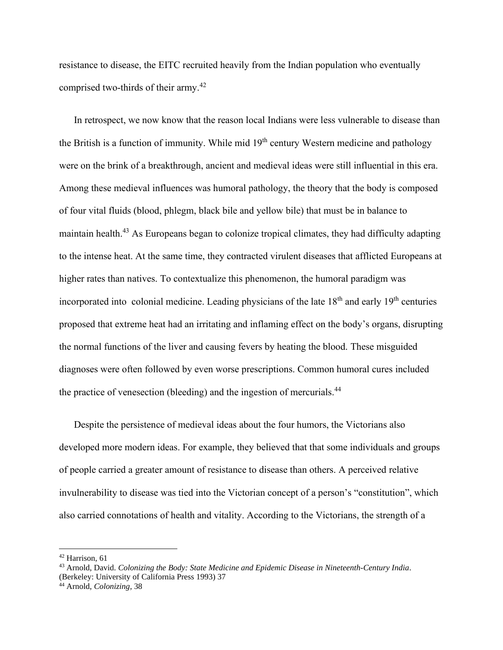resistance to disease, the EITC recruited heavily from the Indian population who eventually comprised two-thirds of their army.<sup>42</sup>

In retrospect, we now know that the reason local Indians were less vulnerable to disease than the British is a function of immunity. While mid  $19<sup>th</sup>$  century Western medicine and pathology were on the brink of a breakthrough, ancient and medieval ideas were still influential in this era. Among these medieval influences was humoral pathology, the theory that the body is composed of four vital fluids (blood, phlegm, black bile and yellow bile) that must be in balance to maintain health.<sup>43</sup> As Europeans began to colonize tropical climates, they had difficulty adapting to the intense heat. At the same time, they contracted virulent diseases that afflicted Europeans at higher rates than natives. To contextualize this phenomenon, the humoral paradigm was incorporated into colonial medicine. Leading physicians of the late  $18<sup>th</sup>$  and early  $19<sup>th</sup>$  centuries proposed that extreme heat had an irritating and inflaming effect on the body's organs, disrupting the normal functions of the liver and causing fevers by heating the blood. These misguided diagnoses were often followed by even worse prescriptions. Common humoral cures included the practice of venesection (bleeding) and the ingestion of mercurials.<sup>44</sup>

Despite the persistence of medieval ideas about the four humors, the Victorians also developed more modern ideas. For example, they believed that that some individuals and groups of people carried a greater amount of resistance to disease than others. A perceived relative invulnerability to disease was tied into the Victorian concept of a person's "constitution", which also carried connotations of health and vitality. According to the Victorians, the strength of a

<sup>42</sup> Harrison, 61

<sup>43</sup> Arnold, David. *Colonizing the Body: State Medicine and Epidemic Disease in Nineteenth-Century India*. (Berkeley: University of California Press 1993) 37

<sup>44</sup> Arnold, *Colonizing,* 38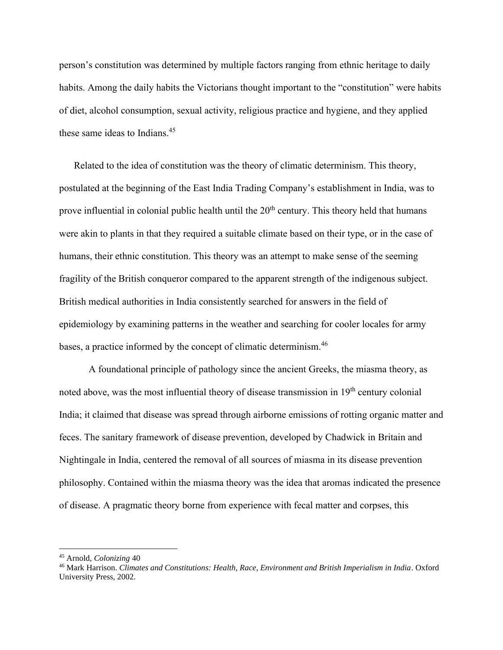person's constitution was determined by multiple factors ranging from ethnic heritage to daily habits. Among the daily habits the Victorians thought important to the "constitution" were habits of diet, alcohol consumption, sexual activity, religious practice and hygiene, and they applied these same ideas to Indians.<sup>45</sup>

Related to the idea of constitution was the theory of climatic determinism. This theory, postulated at the beginning of the East India Trading Company's establishment in India, was to prove influential in colonial public health until the  $20<sup>th</sup>$  century. This theory held that humans were akin to plants in that they required a suitable climate based on their type, or in the case of humans, their ethnic constitution. This theory was an attempt to make sense of the seeming fragility of the British conqueror compared to the apparent strength of the indigenous subject. British medical authorities in India consistently searched for answers in the field of epidemiology by examining patterns in the weather and searching for cooler locales for army bases, a practice informed by the concept of climatic determinism.<sup>46</sup>

A foundational principle of pathology since the ancient Greeks, the miasma theory, as noted above, was the most influential theory of disease transmission in 19<sup>th</sup> century colonial India; it claimed that disease was spread through airborne emissions of rotting organic matter and feces. The sanitary framework of disease prevention, developed by Chadwick in Britain and Nightingale in India, centered the removal of all sources of miasma in its disease prevention philosophy. Contained within the miasma theory was the idea that aromas indicated the presence of disease. A pragmatic theory borne from experience with fecal matter and corpses, this

<sup>45</sup> Arnold, *Colonizing* 40

<sup>46</sup> Mark Harrison. *Climates and Constitutions: Health, Race, Environment and British Imperialism in India*. Oxford University Press, 2002.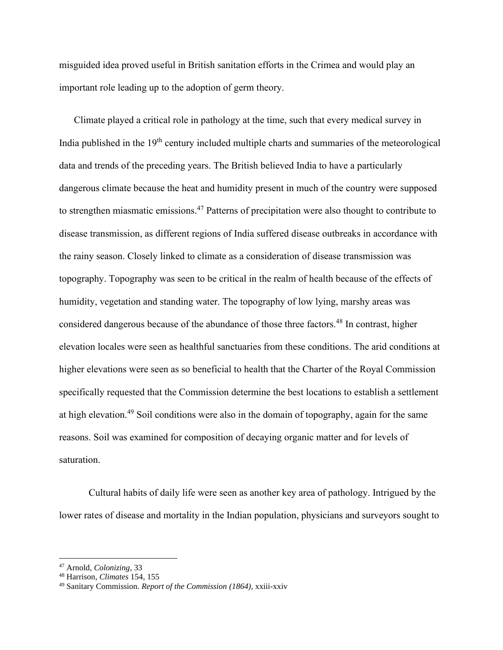misguided idea proved useful in British sanitation efforts in the Crimea and would play an important role leading up to the adoption of germ theory.

Climate played a critical role in pathology at the time, such that every medical survey in India published in the  $19<sup>th</sup>$  century included multiple charts and summaries of the meteorological data and trends of the preceding years. The British believed India to have a particularly dangerous climate because the heat and humidity present in much of the country were supposed to strengthen miasmatic emissions.<sup>47</sup> Patterns of precipitation were also thought to contribute to disease transmission, as different regions of India suffered disease outbreaks in accordance with the rainy season. Closely linked to climate as a consideration of disease transmission was topography. Topography was seen to be critical in the realm of health because of the effects of humidity, vegetation and standing water. The topography of low lying, marshy areas was considered dangerous because of the abundance of those three factors.<sup>48</sup> In contrast, higher elevation locales were seen as healthful sanctuaries from these conditions. The arid conditions at higher elevations were seen as so beneficial to health that the Charter of the Royal Commission specifically requested that the Commission determine the best locations to establish a settlement at high elevation.<sup>49</sup> Soil conditions were also in the domain of topography, again for the same reasons. Soil was examined for composition of decaying organic matter and for levels of saturation.

Cultural habits of daily life were seen as another key area of pathology. Intrigued by the lower rates of disease and mortality in the Indian population, physicians and surveyors sought to

<sup>47</sup> Arnold, *Colonizing*, 33

<sup>48</sup> Harrison, *Climates* 154, 155

<sup>49</sup> Sanitary Commission. *Report of the Commission (1864),* xxiii-xxiv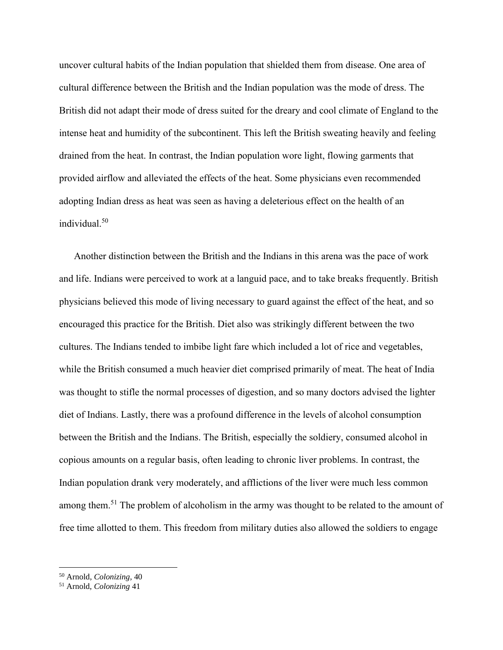uncover cultural habits of the Indian population that shielded them from disease. One area of cultural difference between the British and the Indian population was the mode of dress. The British did not adapt their mode of dress suited for the dreary and cool climate of England to the intense heat and humidity of the subcontinent. This left the British sweating heavily and feeling drained from the heat. In contrast, the Indian population wore light, flowing garments that provided airflow and alleviated the effects of the heat. Some physicians even recommended adopting Indian dress as heat was seen as having a deleterious effect on the health of an individual.<sup>50</sup>

Another distinction between the British and the Indians in this arena was the pace of work and life. Indians were perceived to work at a languid pace, and to take breaks frequently. British physicians believed this mode of living necessary to guard against the effect of the heat, and so encouraged this practice for the British. Diet also was strikingly different between the two cultures. The Indians tended to imbibe light fare which included a lot of rice and vegetables, while the British consumed a much heavier diet comprised primarily of meat. The heat of India was thought to stifle the normal processes of digestion, and so many doctors advised the lighter diet of Indians. Lastly, there was a profound difference in the levels of alcohol consumption between the British and the Indians. The British, especially the soldiery, consumed alcohol in copious amounts on a regular basis, often leading to chronic liver problems. In contrast, the Indian population drank very moderately, and afflictions of the liver were much less common among them.<sup>51</sup> The problem of alcoholism in the army was thought to be related to the amount of free time allotted to them. This freedom from military duties also allowed the soldiers to engage

<sup>50</sup> Arnold, *Colonizing,* 40

<sup>51</sup> Arnold, *Colonizing* 41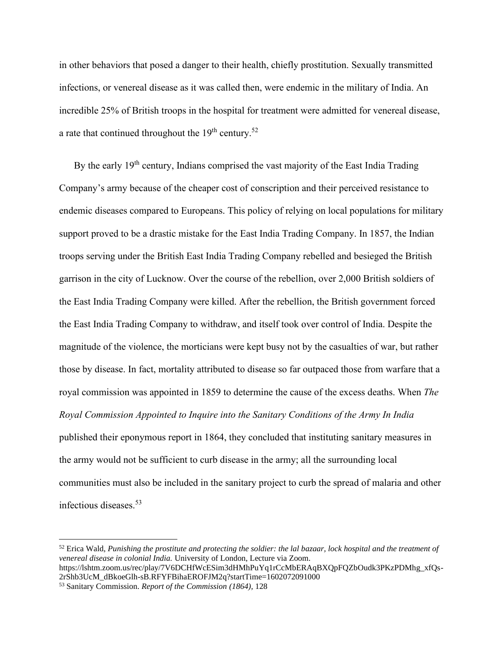in other behaviors that posed a danger to their health, chiefly prostitution. Sexually transmitted infections, or venereal disease as it was called then, were endemic in the military of India. An incredible 25% of British troops in the hospital for treatment were admitted for venereal disease, a rate that continued throughout the  $19<sup>th</sup>$  century.<sup>52</sup>

By the early  $19<sup>th</sup>$  century, Indians comprised the vast majority of the East India Trading Company's army because of the cheaper cost of conscription and their perceived resistance to endemic diseases compared to Europeans. This policy of relying on local populations for military support proved to be a drastic mistake for the East India Trading Company. In 1857, the Indian troops serving under the British East India Trading Company rebelled and besieged the British garrison in the city of Lucknow. Over the course of the rebellion, over 2,000 British soldiers of the East India Trading Company were killed. After the rebellion, the British government forced the East India Trading Company to withdraw, and itself took over control of India. Despite the magnitude of the violence, the morticians were kept busy not by the casualties of war, but rather those by disease. In fact, mortality attributed to disease so far outpaced those from warfare that a royal commission was appointed in 1859 to determine the cause of the excess deaths. When *The Royal Commission Appointed to Inquire into the Sanitary Conditions of the Army In India*  published their eponymous report in 1864, they concluded that instituting sanitary measures in the army would not be sufficient to curb disease in the army; all the surrounding local communities must also be included in the sanitary project to curb the spread of malaria and other infectious diseases.<sup>53</sup>

<sup>52</sup> Erica Wald, *Punishing the prostitute and protecting the soldier: the lal bazaar, lock hospital and the treatment of venereal disease in colonial India.* University of London, Lecture via Zoom.

https://lshtm.zoom.us/rec/play/7V6DCHfWcESim3dHMhPuYq1rCcMbERAqBXQpFQZbOudk3PKzPDMhg\_xfQs-2rShb3UcM\_dBkoeGlh-sB.RFYFBihaEROFJM2q?startTime=1602072091000

<sup>53</sup> Sanitary Commission. *Report of the Commission (1864),* 128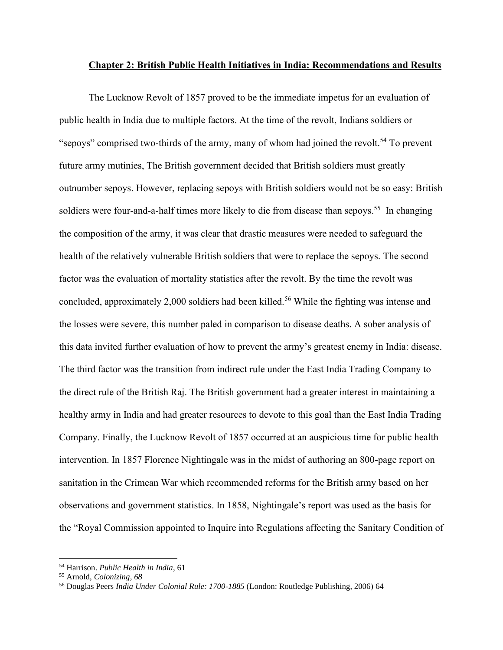#### **Chapter 2: British Public Health Initiatives in India: Recommendations and Results**

The Lucknow Revolt of 1857 proved to be the immediate impetus for an evaluation of public health in India due to multiple factors. At the time of the revolt, Indians soldiers or "sepoys" comprised two-thirds of the army, many of whom had joined the revolt.<sup>54</sup> To prevent future army mutinies, The British government decided that British soldiers must greatly outnumber sepoys. However, replacing sepoys with British soldiers would not be so easy: British soldiers were four-and-a-half times more likely to die from disease than sepoys.<sup>55</sup> In changing the composition of the army, it was clear that drastic measures were needed to safeguard the health of the relatively vulnerable British soldiers that were to replace the sepoys. The second factor was the evaluation of mortality statistics after the revolt. By the time the revolt was concluded, approximately 2,000 soldiers had been killed.<sup>56</sup> While the fighting was intense and the losses were severe, this number paled in comparison to disease deaths. A sober analysis of this data invited further evaluation of how to prevent the army's greatest enemy in India: disease. The third factor was the transition from indirect rule under the East India Trading Company to the direct rule of the British Raj. The British government had a greater interest in maintaining a healthy army in India and had greater resources to devote to this goal than the East India Trading Company. Finally, the Lucknow Revolt of 1857 occurred at an auspicious time for public health intervention. In 1857 Florence Nightingale was in the midst of authoring an 800-page report on sanitation in the Crimean War which recommended reforms for the British army based on her observations and government statistics. In 1858, Nightingale's report was used as the basis for the "Royal Commission appointed to Inquire into Regulations affecting the Sanitary Condition of

<sup>54</sup> Harrison. *Public Health in India*, 61

<sup>55</sup> Arnold, *Colonizing, 68*

<sup>56</sup> Douglas Peers *India Under Colonial Rule: 1700-1885* (London: Routledge Publishing, 2006) 64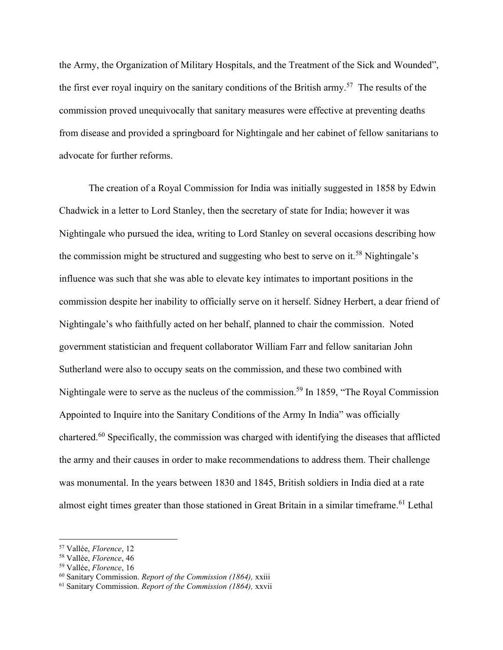the Army, the Organization of Military Hospitals, and the Treatment of the Sick and Wounded", the first ever royal inquiry on the sanitary conditions of the British army.<sup>57</sup> The results of the commission proved unequivocally that sanitary measures were effective at preventing deaths from disease and provided a springboard for Nightingale and her cabinet of fellow sanitarians to advocate for further reforms.

The creation of a Royal Commission for India was initially suggested in 1858 by Edwin Chadwick in a letter to Lord Stanley, then the secretary of state for India; however it was Nightingale who pursued the idea, writing to Lord Stanley on several occasions describing how the commission might be structured and suggesting who best to serve on it.<sup>58</sup> Nightingale's influence was such that she was able to elevate key intimates to important positions in the commission despite her inability to officially serve on it herself. Sidney Herbert, a dear friend of Nightingale's who faithfully acted on her behalf, planned to chair the commission. Noted government statistician and frequent collaborator William Farr and fellow sanitarian John Sutherland were also to occupy seats on the commission, and these two combined with Nightingale were to serve as the nucleus of the commission.<sup>59</sup> In 1859, "The Royal Commission Appointed to Inquire into the Sanitary Conditions of the Army In India" was officially chartered.<sup>60</sup> Specifically, the commission was charged with identifying the diseases that afflicted the army and their causes in order to make recommendations to address them. Their challenge was monumental. In the years between 1830 and 1845, British soldiers in India died at a rate almost eight times greater than those stationed in Great Britain in a similar timeframe.<sup>61</sup> Lethal

<sup>57</sup> Vallée, *Florence*, 12

<sup>58</sup> Vallée, *Florence*, 46

<sup>59</sup> Vallée, *Florence*, 16

<sup>60</sup> Sanitary Commission. *Report of the Commission (1864),* xxiii

<sup>61</sup> Sanitary Commission. *Report of the Commission (1864),* xxvii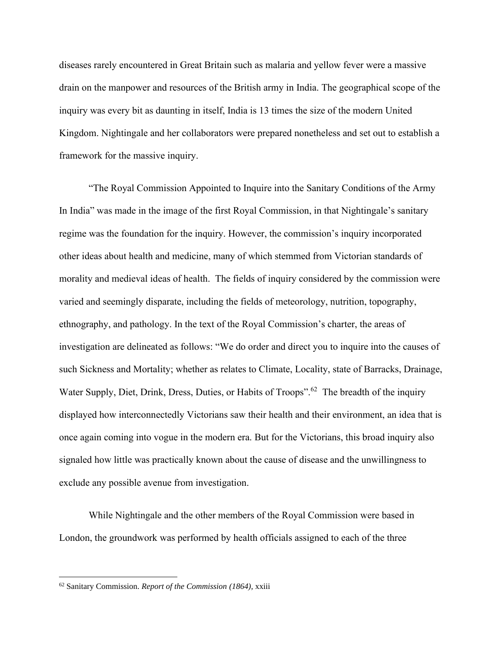diseases rarely encountered in Great Britain such as malaria and yellow fever were a massive drain on the manpower and resources of the British army in India. The geographical scope of the inquiry was every bit as daunting in itself, India is 13 times the size of the modern United Kingdom. Nightingale and her collaborators were prepared nonetheless and set out to establish a framework for the massive inquiry.

"The Royal Commission Appointed to Inquire into the Sanitary Conditions of the Army In India" was made in the image of the first Royal Commission, in that Nightingale's sanitary regime was the foundation for the inquiry. However, the commission's inquiry incorporated other ideas about health and medicine, many of which stemmed from Victorian standards of morality and medieval ideas of health. The fields of inquiry considered by the commission were varied and seemingly disparate, including the fields of meteorology, nutrition, topography, ethnography, and pathology. In the text of the Royal Commission's charter, the areas of investigation are delineated as follows: "We do order and direct you to inquire into the causes of such Sickness and Mortality; whether as relates to Climate, Locality, state of Barracks, Drainage, Water Supply, Diet, Drink, Dress, Duties, or Habits of Troops".<sup>62</sup> The breadth of the inquiry displayed how interconnectedly Victorians saw their health and their environment, an idea that is once again coming into vogue in the modern era. But for the Victorians, this broad inquiry also signaled how little was practically known about the cause of disease and the unwillingness to exclude any possible avenue from investigation.

While Nightingale and the other members of the Royal Commission were based in London, the groundwork was performed by health officials assigned to each of the three

<sup>62</sup> Sanitary Commission. *Report of the Commission (1864),* xxiii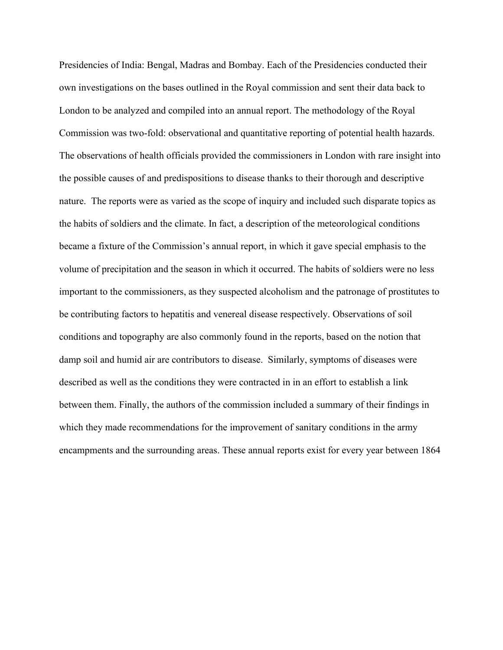Presidencies of India: Bengal, Madras and Bombay. Each of the Presidencies conducted their own investigations on the bases outlined in the Royal commission and sent their data back to London to be analyzed and compiled into an annual report. The methodology of the Royal Commission was two-fold: observational and quantitative reporting of potential health hazards. The observations of health officials provided the commissioners in London with rare insight into the possible causes of and predispositions to disease thanks to their thorough and descriptive nature. The reports were as varied as the scope of inquiry and included such disparate topics as the habits of soldiers and the climate. In fact, a description of the meteorological conditions became a fixture of the Commission's annual report, in which it gave special emphasis to the volume of precipitation and the season in which it occurred. The habits of soldiers were no less important to the commissioners, as they suspected alcoholism and the patronage of prostitutes to be contributing factors to hepatitis and venereal disease respectively. Observations of soil conditions and topography are also commonly found in the reports, based on the notion that damp soil and humid air are contributors to disease. Similarly, symptoms of diseases were described as well as the conditions they were contracted in in an effort to establish a link between them. Finally, the authors of the commission included a summary of their findings in which they made recommendations for the improvement of sanitary conditions in the army encampments and the surrounding areas. These annual reports exist for every year between 1864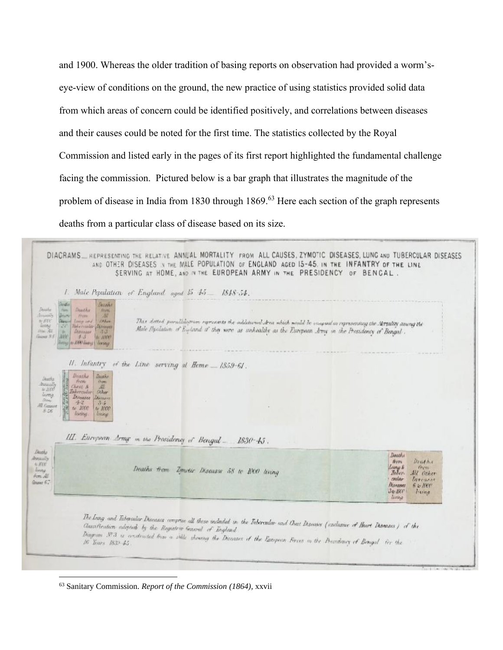and 1900. Whereas the older tradition of basing reports on observation had provided a worm'seye-view of conditions on the ground, the new practice of using statistics provided solid data from which areas of concern could be identified positively, and correlations between diseases and their causes could be noted for the first time. The statistics collected by the Royal Commission and listed early in the pages of its first report highlighted the fundamental challenge facing the commission. Pictured below is a bar graph that illustrates the magnitude of the problem of disease in India from 1830 through 1869.<sup>63</sup> Here each section of the graph represents deaths from a particular class of disease based on its size.

|                                                                                                                                                                                                                                                                                                                                                    | 1. Male Population of England aged $15 + 5 = 1848 - 54$ .                                                                                                                                                                          |                                                                                        |  |
|----------------------------------------------------------------------------------------------------------------------------------------------------------------------------------------------------------------------------------------------------------------------------------------------------------------------------------------------------|------------------------------------------------------------------------------------------------------------------------------------------------------------------------------------------------------------------------------------|----------------------------------------------------------------------------------------|--|
| <b>Daubis</b><br>Denshir<br>Doubt:<br><b>Nami</b><br>Deaths<br><b>Priori</b><br><b>Imagin's</b><br>M<br><b>ARTISTER</b><br><b>TIVAN</b><br>$n$ Nec<br>Long and<br>/Phon-<br><b><i><u>ISTINE</u></i></b><br>hubervaniar Marmaen<br>INN AV<br>Disenser<br>清洁<br>100<br>Gounts SLE<br><b>SARRY</b><br>不可<br>th. 1000<br>Avenue (Ar RAN Garry) Cracker | This dotted parallelogram represents the additional Area which would be compact in representing the Mercality among the<br>Male Plysilation of Expland if they were as unhealthy as the European Jony in the Presidency of Bengal. |                                                                                        |  |
|                                                                                                                                                                                                                                                                                                                                                    | II. Infantry of the Line serving at Heme _ 1859-61.                                                                                                                                                                                |                                                                                        |  |
| Deaths<br>Deaths.<br><b>Dunths</b><br>Frem.<br>from:<br><b>Intuitiv</b><br>All.<br>Chest &<br>$\approx 2000$<br>Other<br>Inbereidar<br>living<br><b>Direasos</b><br>Diavaser<br>/Im<br>$-2 - 2$<br>$3 - 4$<br>All Conserve<br>to 1000<br>to 1000<br>8.56<br>LEWEREL.<br>tiving.                                                                    |                                                                                                                                                                                                                                    |                                                                                        |  |
|                                                                                                                                                                                                                                                                                                                                                    |                                                                                                                                                                                                                                    |                                                                                        |  |
|                                                                                                                                                                                                                                                                                                                                                    | III. European Army in the Prosidency of Bengal -<br>$1830 - 45$ .                                                                                                                                                                  | Deaths                                                                                 |  |
| Despite<br>diricully<br>$A$ , $A^{2}CC^{2}$<br>livery<br>from All                                                                                                                                                                                                                                                                                  | Deaths from Zemetic Diseases 58 to 1000 living                                                                                                                                                                                     | Dead his<br>trem<br>them.<br>Lang N<br>Taber.<br>All Other<br>cular<br><b>Threasan</b> |  |

<sup>63</sup> Sanitary Commission. *Report of the Commission (1864),* xxvii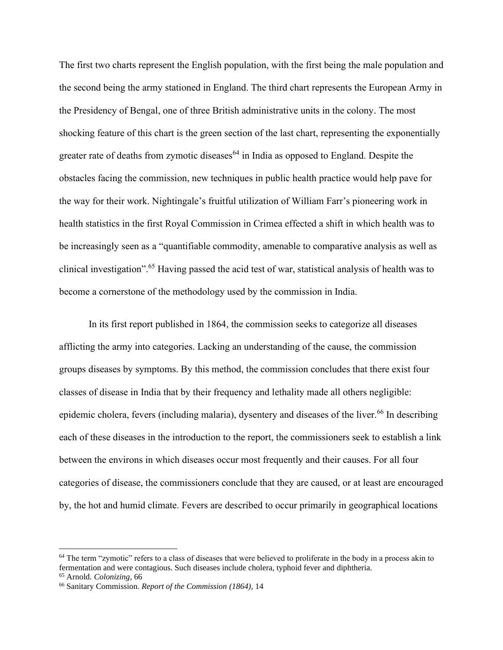The first two charts represent the English population, with the first being the male population and the second being the army stationed in England. The third chart represents the European Army in the Presidency of Bengal, one of three British administrative units in the colony. The most shocking feature of this chart is the green section of the last chart, representing the exponentially greater rate of deaths from zymotic diseases<sup> $64$ </sup> in India as opposed to England. Despite the obstacles facing the commission, new techniques in public health practice would help pave for the way for their work. Nightingale's fruitful utilization of William Farr's pioneering work in health statistics in the first Royal Commission in Crimea effected a shift in which health was to be increasingly seen as a "quantifiable commodity, amenable to comparative analysis as well as clinical investigation". <sup>65</sup> Having passed the acid test of war, statistical analysis of health was to become a cornerstone of the methodology used by the commission in India.

In its first report published in 1864, the commission seeks to categorize all diseases afflicting the army into categories. Lacking an understanding of the cause, the commission groups diseases by symptoms. By this method, the commission concludes that there exist four classes of disease in India that by their frequency and lethality made all others negligible: epidemic cholera, fevers (including malaria), dysentery and diseases of the liver.<sup>66</sup> In describing each of these diseases in the introduction to the report, the commissioners seek to establish a link between the environs in which diseases occur most frequently and their causes. For all four categories of disease, the commissioners conclude that they are caused, or at least are encouraged by, the hot and humid climate. Fevers are described to occur primarily in geographical locations

 $64$  The term "zymotic" refers to a class of diseases that were believed to proliferate in the body in a process akin to fermentation and were contagious. Such diseases include cholera, typhoid fever and diphtheria.

<sup>65</sup> Arnold. *Colonizing,* 66

<sup>66</sup> Sanitary Commission. *Report of the Commission (1864),* 14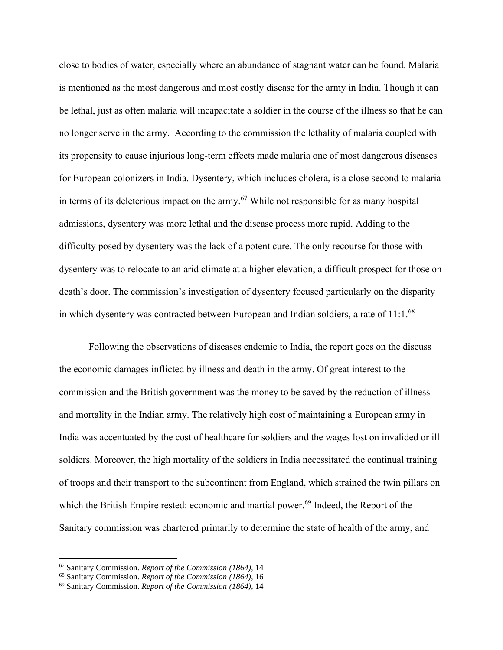close to bodies of water, especially where an abundance of stagnant water can be found. Malaria is mentioned as the most dangerous and most costly disease for the army in India. Though it can be lethal, just as often malaria will incapacitate a soldier in the course of the illness so that he can no longer serve in the army. According to the commission the lethality of malaria coupled with its propensity to cause injurious long-term effects made malaria one of most dangerous diseases for European colonizers in India. Dysentery, which includes cholera, is a close second to malaria in terms of its deleterious impact on the army.<sup>67</sup> While not responsible for as many hospital admissions, dysentery was more lethal and the disease process more rapid. Adding to the difficulty posed by dysentery was the lack of a potent cure. The only recourse for those with dysentery was to relocate to an arid climate at a higher elevation, a difficult prospect for those on death's door. The commission's investigation of dysentery focused particularly on the disparity in which dysentery was contracted between European and Indian soldiers, a rate of 11:1.<sup>68</sup>

Following the observations of diseases endemic to India, the report goes on the discuss the economic damages inflicted by illness and death in the army. Of great interest to the commission and the British government was the money to be saved by the reduction of illness and mortality in the Indian army. The relatively high cost of maintaining a European army in India was accentuated by the cost of healthcare for soldiers and the wages lost on invalided or ill soldiers. Moreover, the high mortality of the soldiers in India necessitated the continual training of troops and their transport to the subcontinent from England, which strained the twin pillars on which the British Empire rested: economic and martial power.<sup>69</sup> Indeed, the Report of the Sanitary commission was chartered primarily to determine the state of health of the army, and

<sup>67</sup> Sanitary Commission. *Report of the Commission (1864),* 14

<sup>68</sup> Sanitary Commission. *Report of the Commission (1864),* 16

<sup>69</sup> Sanitary Commission. *Report of the Commission (1864),* 14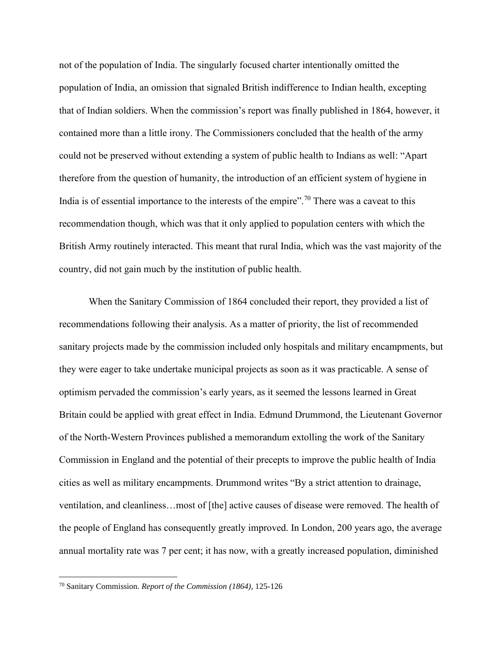not of the population of India. The singularly focused charter intentionally omitted the population of India, an omission that signaled British indifference to Indian health, excepting that of Indian soldiers. When the commission's report was finally published in 1864, however, it contained more than a little irony. The Commissioners concluded that the health of the army could not be preserved without extending a system of public health to Indians as well: "Apart therefore from the question of humanity, the introduction of an efficient system of hygiene in India is of essential importance to the interests of the empire".<sup>70</sup> There was a caveat to this recommendation though, which was that it only applied to population centers with which the British Army routinely interacted. This meant that rural India, which was the vast majority of the country, did not gain much by the institution of public health.

When the Sanitary Commission of 1864 concluded their report, they provided a list of recommendations following their analysis. As a matter of priority, the list of recommended sanitary projects made by the commission included only hospitals and military encampments, but they were eager to take undertake municipal projects as soon as it was practicable. A sense of optimism pervaded the commission's early years, as it seemed the lessons learned in Great Britain could be applied with great effect in India. Edmund Drummond, the Lieutenant Governor of the North-Western Provinces published a memorandum extolling the work of the Sanitary Commission in England and the potential of their precepts to improve the public health of India cities as well as military encampments. Drummond writes "By a strict attention to drainage, ventilation, and cleanliness…most of [the] active causes of disease were removed. The health of the people of England has consequently greatly improved. In London, 200 years ago, the average annual mortality rate was 7 per cent; it has now, with a greatly increased population, diminished

<sup>70</sup> Sanitary Commission. *Report of the Commission (1864),* 125-126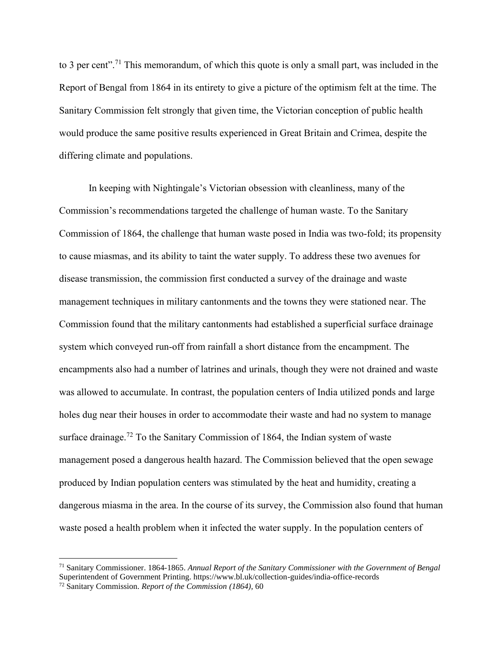to 3 per cent".<sup>71</sup> This memorandum, of which this quote is only a small part, was included in the Report of Bengal from 1864 in its entirety to give a picture of the optimism felt at the time. The Sanitary Commission felt strongly that given time, the Victorian conception of public health would produce the same positive results experienced in Great Britain and Crimea, despite the differing climate and populations.

In keeping with Nightingale's Victorian obsession with cleanliness, many of the Commission's recommendations targeted the challenge of human waste. To the Sanitary Commission of 1864, the challenge that human waste posed in India was two-fold; its propensity to cause miasmas, and its ability to taint the water supply. To address these two avenues for disease transmission, the commission first conducted a survey of the drainage and waste management techniques in military cantonments and the towns they were stationed near. The Commission found that the military cantonments had established a superficial surface drainage system which conveyed run-off from rainfall a short distance from the encampment. The encampments also had a number of latrines and urinals, though they were not drained and waste was allowed to accumulate. In contrast, the population centers of India utilized ponds and large holes dug near their houses in order to accommodate their waste and had no system to manage surface drainage.<sup>72</sup> To the Sanitary Commission of 1864, the Indian system of waste management posed a dangerous health hazard. The Commission believed that the open sewage produced by Indian population centers was stimulated by the heat and humidity, creating a dangerous miasma in the area. In the course of its survey, the Commission also found that human waste posed a health problem when it infected the water supply. In the population centers of

<sup>71</sup> Sanitary Commissioner. 1864-1865. *Annual Report of the Sanitary Commissioner with the Government of Bengal* Superintendent of Government Printing. https://www.bl.uk/collection-guides/india-office-records

<sup>72</sup> Sanitary Commission. *Report of the Commission (1864),* 60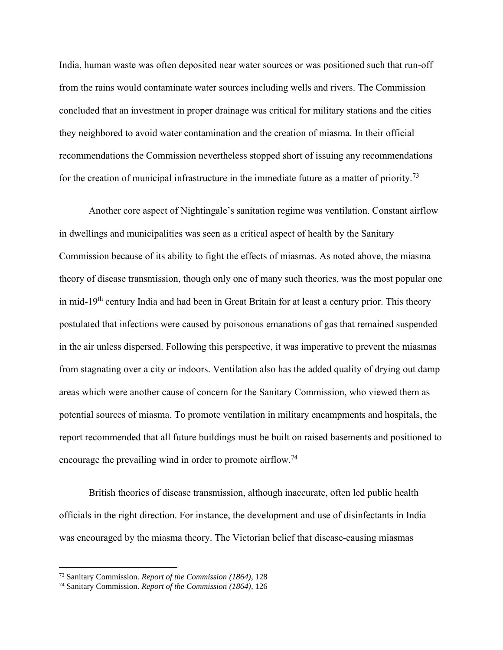India, human waste was often deposited near water sources or was positioned such that run-off from the rains would contaminate water sources including wells and rivers. The Commission concluded that an investment in proper drainage was critical for military stations and the cities they neighbored to avoid water contamination and the creation of miasma. In their official recommendations the Commission nevertheless stopped short of issuing any recommendations for the creation of municipal infrastructure in the immediate future as a matter of priority.<sup>73</sup>

Another core aspect of Nightingale's sanitation regime was ventilation. Constant airflow in dwellings and municipalities was seen as a critical aspect of health by the Sanitary Commission because of its ability to fight the effects of miasmas. As noted above, the miasma theory of disease transmission, though only one of many such theories, was the most popular one in mid-19<sup>th</sup> century India and had been in Great Britain for at least a century prior. This theory postulated that infections were caused by poisonous emanations of gas that remained suspended in the air unless dispersed. Following this perspective, it was imperative to prevent the miasmas from stagnating over a city or indoors. Ventilation also has the added quality of drying out damp areas which were another cause of concern for the Sanitary Commission, who viewed them as potential sources of miasma. To promote ventilation in military encampments and hospitals, the report recommended that all future buildings must be built on raised basements and positioned to encourage the prevailing wind in order to promote airflow.<sup>74</sup>

British theories of disease transmission, although inaccurate, often led public health officials in the right direction. For instance, the development and use of disinfectants in India was encouraged by the miasma theory. The Victorian belief that disease-causing miasmas

<sup>73</sup> Sanitary Commission. *Report of the Commission (1864),* 128

<sup>74</sup> Sanitary Commission. *Report of the Commission (1864),* 126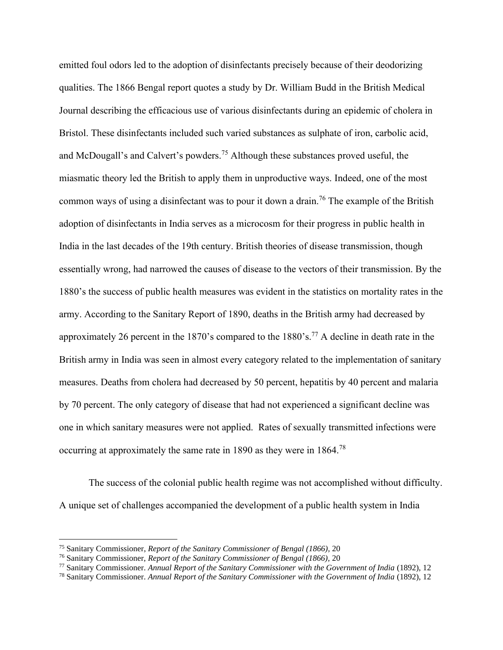emitted foul odors led to the adoption of disinfectants precisely because of their deodorizing qualities. The 1866 Bengal report quotes a study by Dr. William Budd in the British Medical Journal describing the efficacious use of various disinfectants during an epidemic of cholera in Bristol. These disinfectants included such varied substances as sulphate of iron, carbolic acid, and McDougall's and Calvert's powders.<sup>75</sup> Although these substances proved useful, the miasmatic theory led the British to apply them in unproductive ways. Indeed, one of the most common ways of using a disinfectant was to pour it down a drain.<sup>76</sup> The example of the British adoption of disinfectants in India serves as a microcosm for their progress in public health in India in the last decades of the 19th century. British theories of disease transmission, though essentially wrong, had narrowed the causes of disease to the vectors of their transmission. By the 1880's the success of public health measures was evident in the statistics on mortality rates in the army. According to the Sanitary Report of 1890, deaths in the British army had decreased by approximately 26 percent in the 1870's compared to the 1880's.<sup>77</sup> A decline in death rate in the British army in India was seen in almost every category related to the implementation of sanitary measures. Deaths from cholera had decreased by 50 percent, hepatitis by 40 percent and malaria by 70 percent. The only category of disease that had not experienced a significant decline was one in which sanitary measures were not applied. Rates of sexually transmitted infections were occurring at approximately the same rate in 1890 as they were in 1864.<sup>78</sup>

The success of the colonial public health regime was not accomplished without difficulty. A unique set of challenges accompanied the development of a public health system in India

<sup>75</sup> Sanitary Commissioner, *Report of the Sanitary Commissioner of Bengal (1866),* 20

<sup>76</sup> Sanitary Commissioner, *Report of the Sanitary Commissioner of Bengal (1866),* 20

<sup>77</sup> Sanitary Commissioner. *Annual Report of the Sanitary Commissioner with the Government of India* (1892), 12

<sup>78</sup> Sanitary Commissioner. *Annual Report of the Sanitary Commissioner with the Government of India* (1892), 12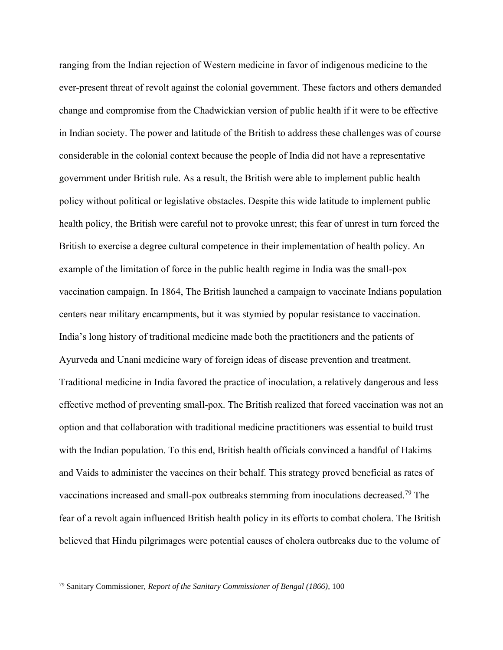ranging from the Indian rejection of Western medicine in favor of indigenous medicine to the ever-present threat of revolt against the colonial government. These factors and others demanded change and compromise from the Chadwickian version of public health if it were to be effective in Indian society. The power and latitude of the British to address these challenges was of course considerable in the colonial context because the people of India did not have a representative government under British rule. As a result, the British were able to implement public health policy without political or legislative obstacles. Despite this wide latitude to implement public health policy, the British were careful not to provoke unrest; this fear of unrest in turn forced the British to exercise a degree cultural competence in their implementation of health policy. An example of the limitation of force in the public health regime in India was the small-pox vaccination campaign. In 1864, The British launched a campaign to vaccinate Indians population centers near military encampments, but it was stymied by popular resistance to vaccination. India's long history of traditional medicine made both the practitioners and the patients of Ayurveda and Unani medicine wary of foreign ideas of disease prevention and treatment. Traditional medicine in India favored the practice of inoculation, a relatively dangerous and less effective method of preventing small-pox. The British realized that forced vaccination was not an option and that collaboration with traditional medicine practitioners was essential to build trust with the Indian population. To this end, British health officials convinced a handful of Hakims and Vaids to administer the vaccines on their behalf. This strategy proved beneficial as rates of vaccinations increased and small-pox outbreaks stemming from inoculations decreased.<sup>79</sup> The fear of a revolt again influenced British health policy in its efforts to combat cholera. The British believed that Hindu pilgrimages were potential causes of cholera outbreaks due to the volume of

<sup>79</sup> Sanitary Commissioner, *Report of the Sanitary Commissioner of Bengal (1866),* 100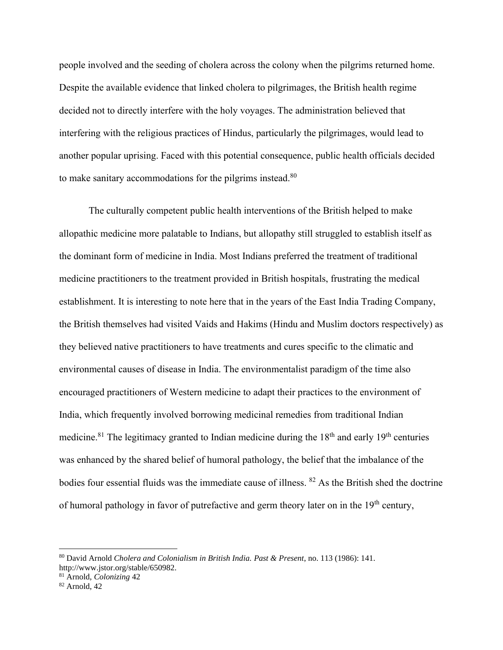people involved and the seeding of cholera across the colony when the pilgrims returned home. Despite the available evidence that linked cholera to pilgrimages, the British health regime decided not to directly interfere with the holy voyages. The administration believed that interfering with the religious practices of Hindus, particularly the pilgrimages, would lead to another popular uprising. Faced with this potential consequence, public health officials decided to make sanitary accommodations for the pilgrims instead.<sup>80</sup>

The culturally competent public health interventions of the British helped to make allopathic medicine more palatable to Indians, but allopathy still struggled to establish itself as the dominant form of medicine in India. Most Indians preferred the treatment of traditional medicine practitioners to the treatment provided in British hospitals, frustrating the medical establishment. It is interesting to note here that in the years of the East India Trading Company, the British themselves had visited Vaids and Hakims (Hindu and Muslim doctors respectively) as they believed native practitioners to have treatments and cures specific to the climatic and environmental causes of disease in India. The environmentalist paradigm of the time also encouraged practitioners of Western medicine to adapt their practices to the environment of India, which frequently involved borrowing medicinal remedies from traditional Indian medicine.<sup>81</sup> The legitimacy granted to Indian medicine during the  $18<sup>th</sup>$  and early  $19<sup>th</sup>$  centuries was enhanced by the shared belief of humoral pathology, the belief that the imbalance of the bodies four essential fluids was the immediate cause of illness. <sup>82</sup> As the British shed the doctrine of humoral pathology in favor of putrefactive and germ theory later on in the 19<sup>th</sup> century,

<sup>80</sup> David Arnold *Cholera and Colonialism in British India. Past & Present*, no. 113 (1986): 141.

http://www.jstor.org/stable/650982.

<sup>81</sup> Arnold, *Colonizing* 42

<sup>82</sup> Arnold, 42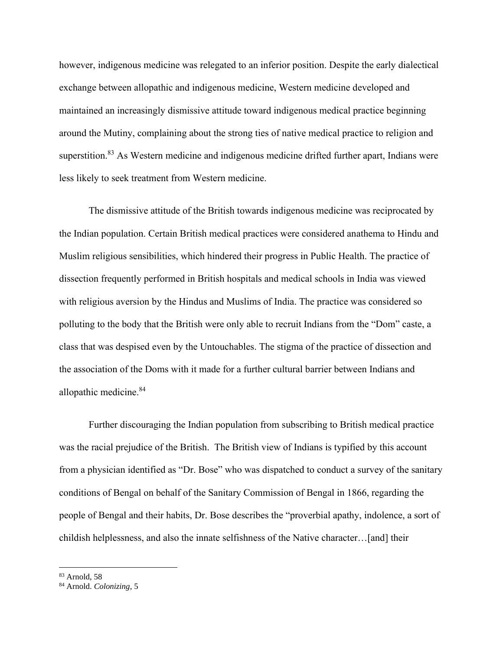however, indigenous medicine was relegated to an inferior position. Despite the early dialectical exchange between allopathic and indigenous medicine, Western medicine developed and maintained an increasingly dismissive attitude toward indigenous medical practice beginning around the Mutiny, complaining about the strong ties of native medical practice to religion and superstition.<sup>83</sup> As Western medicine and indigenous medicine drifted further apart, Indians were less likely to seek treatment from Western medicine.

The dismissive attitude of the British towards indigenous medicine was reciprocated by the Indian population. Certain British medical practices were considered anathema to Hindu and Muslim religious sensibilities, which hindered their progress in Public Health. The practice of dissection frequently performed in British hospitals and medical schools in India was viewed with religious aversion by the Hindus and Muslims of India. The practice was considered so polluting to the body that the British were only able to recruit Indians from the "Dom" caste, a class that was despised even by the Untouchables. The stigma of the practice of dissection and the association of the Doms with it made for a further cultural barrier between Indians and allopathic medicine.<sup>84</sup>

Further discouraging the Indian population from subscribing to British medical practice was the racial prejudice of the British. The British view of Indians is typified by this account from a physician identified as "Dr. Bose" who was dispatched to conduct a survey of the sanitary conditions of Bengal on behalf of the Sanitary Commission of Bengal in 1866, regarding the people of Bengal and their habits, Dr. Bose describes the "proverbial apathy, indolence, a sort of childish helplessness, and also the innate selfishness of the Native character…[and] their

<sup>83</sup> Arnold, 58

<sup>84</sup> Arnold. *Colonizing,* 5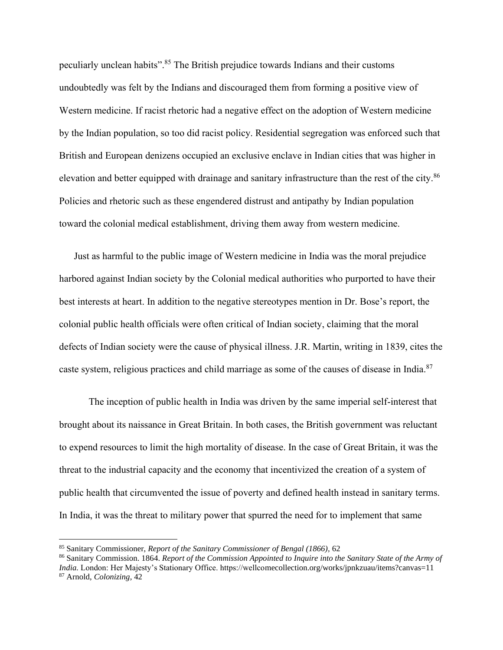peculiarly unclean habits".<sup>85</sup> The British prejudice towards Indians and their customs undoubtedly was felt by the Indians and discouraged them from forming a positive view of Western medicine. If racist rhetoric had a negative effect on the adoption of Western medicine by the Indian population, so too did racist policy. Residential segregation was enforced such that British and European denizens occupied an exclusive enclave in Indian cities that was higher in elevation and better equipped with drainage and sanitary infrastructure than the rest of the city.<sup>86</sup> Policies and rhetoric such as these engendered distrust and antipathy by Indian population toward the colonial medical establishment, driving them away from western medicine.

Just as harmful to the public image of Western medicine in India was the moral prejudice harbored against Indian society by the Colonial medical authorities who purported to have their best interests at heart. In addition to the negative stereotypes mention in Dr. Bose's report, the colonial public health officials were often critical of Indian society, claiming that the moral defects of Indian society were the cause of physical illness. J.R. Martin, writing in 1839, cites the caste system, religious practices and child marriage as some of the causes of disease in India.<sup>87</sup>

The inception of public health in India was driven by the same imperial self-interest that brought about its naissance in Great Britain. In both cases, the British government was reluctant to expend resources to limit the high mortality of disease. In the case of Great Britain, it was the threat to the industrial capacity and the economy that incentivized the creation of a system of public health that circumvented the issue of poverty and defined health instead in sanitary terms. In India, it was the threat to military power that spurred the need for to implement that same

<sup>85</sup> Sanitary Commissioner, *Report of the Sanitary Commissioner of Bengal (1866),* 62

<sup>86</sup> Sanitary Commission. 1864. *Report of the Commission Appointed to Inquire into the Sanitary State of the Army of India.* London: Her Majesty's Stationary Office. https://wellcomecollection.org/works/jpnkzuau/items?canvas=11 <sup>87</sup> Arnold, *Colonizing,* 42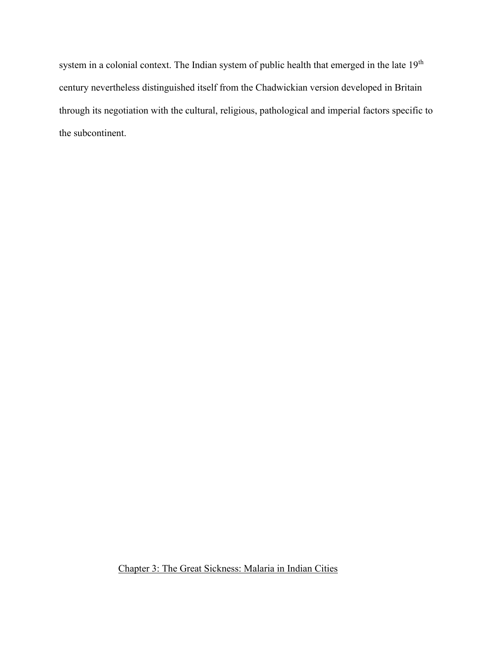system in a colonial context. The Indian system of public health that emerged in the late 19<sup>th</sup> century nevertheless distinguished itself from the Chadwickian version developed in Britain through its negotiation with the cultural, religious, pathological and imperial factors specific to the subcontinent.

Chapter 3: The Great Sickness: Malaria in Indian Cities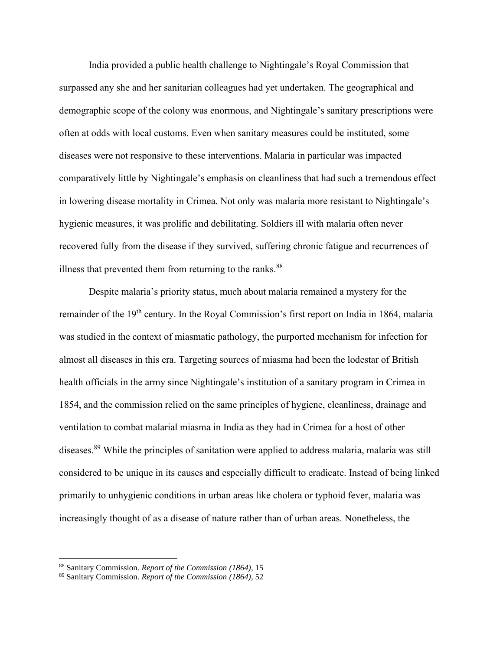India provided a public health challenge to Nightingale's Royal Commission that surpassed any she and her sanitarian colleagues had yet undertaken. The geographical and demographic scope of the colony was enormous, and Nightingale's sanitary prescriptions were often at odds with local customs. Even when sanitary measures could be instituted, some diseases were not responsive to these interventions. Malaria in particular was impacted comparatively little by Nightingale's emphasis on cleanliness that had such a tremendous effect in lowering disease mortality in Crimea. Not only was malaria more resistant to Nightingale's hygienic measures, it was prolific and debilitating. Soldiers ill with malaria often never recovered fully from the disease if they survived, suffering chronic fatigue and recurrences of illness that prevented them from returning to the ranks.<sup>88</sup>

Despite malaria's priority status, much about malaria remained a mystery for the remainder of the 19<sup>th</sup> century. In the Royal Commission's first report on India in 1864, malaria was studied in the context of miasmatic pathology, the purported mechanism for infection for almost all diseases in this era. Targeting sources of miasma had been the lodestar of British health officials in the army since Nightingale's institution of a sanitary program in Crimea in 1854, and the commission relied on the same principles of hygiene, cleanliness, drainage and ventilation to combat malarial miasma in India as they had in Crimea for a host of other diseases.<sup>89</sup> While the principles of sanitation were applied to address malaria, malaria was still considered to be unique in its causes and especially difficult to eradicate. Instead of being linked primarily to unhygienic conditions in urban areas like cholera or typhoid fever, malaria was increasingly thought of as a disease of nature rather than of urban areas. Nonetheless, the

<sup>88</sup> Sanitary Commission. *Report of the Commission (1864),* 15

<sup>89</sup> Sanitary Commission. *Report of the Commission (1864),* 52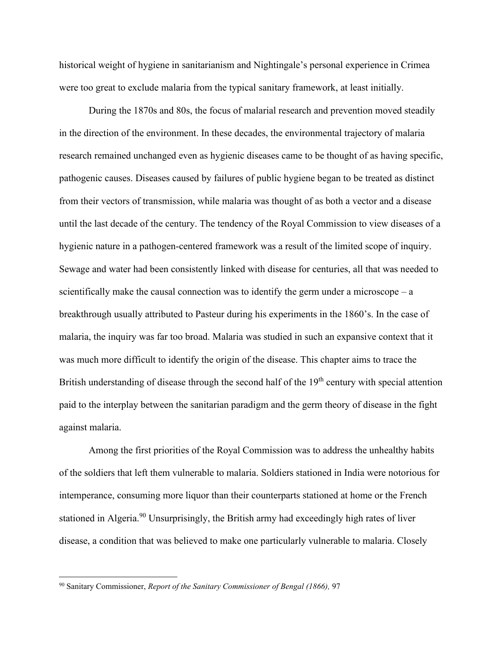historical weight of hygiene in sanitarianism and Nightingale's personal experience in Crimea were too great to exclude malaria from the typical sanitary framework, at least initially.

During the 1870s and 80s, the focus of malarial research and prevention moved steadily in the direction of the environment. In these decades, the environmental trajectory of malaria research remained unchanged even as hygienic diseases came to be thought of as having specific, pathogenic causes. Diseases caused by failures of public hygiene began to be treated as distinct from their vectors of transmission, while malaria was thought of as both a vector and a disease until the last decade of the century. The tendency of the Royal Commission to view diseases of a hygienic nature in a pathogen-centered framework was a result of the limited scope of inquiry. Sewage and water had been consistently linked with disease for centuries, all that was needed to scientifically make the causal connection was to identify the germ under a microscope  $-$  a breakthrough usually attributed to Pasteur during his experiments in the 1860's. In the case of malaria, the inquiry was far too broad. Malaria was studied in such an expansive context that it was much more difficult to identify the origin of the disease. This chapter aims to trace the British understanding of disease through the second half of the 19<sup>th</sup> century with special attention paid to the interplay between the sanitarian paradigm and the germ theory of disease in the fight against malaria.

Among the first priorities of the Royal Commission was to address the unhealthy habits of the soldiers that left them vulnerable to malaria. Soldiers stationed in India were notorious for intemperance, consuming more liquor than their counterparts stationed at home or the French stationed in Algeria.<sup>90</sup> Unsurprisingly, the British army had exceedingly high rates of liver disease, a condition that was believed to make one particularly vulnerable to malaria. Closely

<sup>90</sup> Sanitary Commissioner, *Report of the Sanitary Commissioner of Bengal (1866),* 97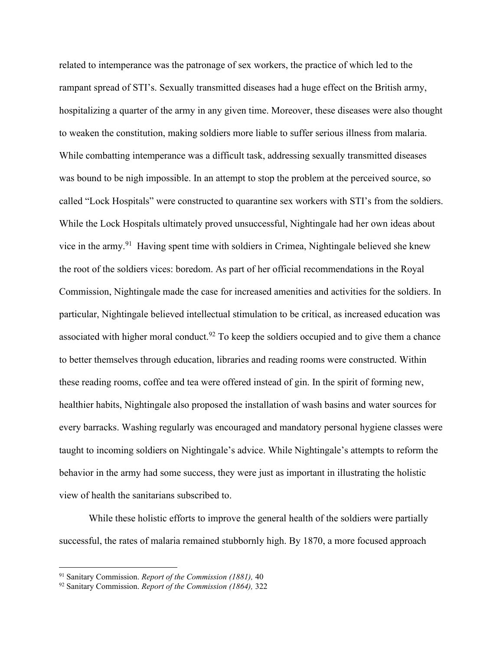related to intemperance was the patronage of sex workers, the practice of which led to the rampant spread of STI's. Sexually transmitted diseases had a huge effect on the British army, hospitalizing a quarter of the army in any given time. Moreover, these diseases were also thought to weaken the constitution, making soldiers more liable to suffer serious illness from malaria. While combatting intemperance was a difficult task, addressing sexually transmitted diseases was bound to be nigh impossible. In an attempt to stop the problem at the perceived source, so called "Lock Hospitals" were constructed to quarantine sex workers with STI's from the soldiers. While the Lock Hospitals ultimately proved unsuccessful, Nightingale had her own ideas about vice in the army.<sup>91</sup> Having spent time with soldiers in Crimea, Nightingale believed she knew the root of the soldiers vices: boredom. As part of her official recommendations in the Royal Commission, Nightingale made the case for increased amenities and activities for the soldiers. In particular, Nightingale believed intellectual stimulation to be critical, as increased education was associated with higher moral conduct.<sup>92</sup> To keep the soldiers occupied and to give them a chance to better themselves through education, libraries and reading rooms were constructed. Within these reading rooms, coffee and tea were offered instead of gin. In the spirit of forming new, healthier habits, Nightingale also proposed the installation of wash basins and water sources for every barracks. Washing regularly was encouraged and mandatory personal hygiene classes were taught to incoming soldiers on Nightingale's advice. While Nightingale's attempts to reform the behavior in the army had some success, they were just as important in illustrating the holistic view of health the sanitarians subscribed to.

While these holistic efforts to improve the general health of the soldiers were partially successful, the rates of malaria remained stubbornly high. By 1870, a more focused approach

<sup>91</sup> Sanitary Commission. *Report of the Commission (1881),* 40

<sup>92</sup> Sanitary Commission. *Report of the Commission (1864),* 322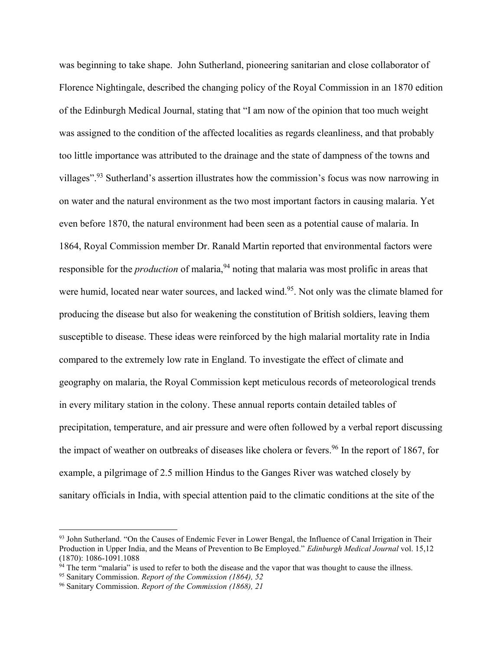was beginning to take shape. John Sutherland, pioneering sanitarian and close collaborator of Florence Nightingale, described the changing policy of the Royal Commission in an 1870 edition of the Edinburgh Medical Journal, stating that "I am now of the opinion that too much weight was assigned to the condition of the affected localities as regards cleanliness, and that probably too little importance was attributed to the drainage and the state of dampness of the towns and villages".<sup>93</sup> Sutherland's assertion illustrates how the commission's focus was now narrowing in on water and the natural environment as the two most important factors in causing malaria. Yet even before 1870, the natural environment had been seen as a potential cause of malaria. In 1864, Royal Commission member Dr. Ranald Martin reported that environmental factors were responsible for the *production* of malaria,<sup>94</sup> noting that malaria was most prolific in areas that were humid, located near water sources, and lacked wind.<sup>95</sup>. Not only was the climate blamed for producing the disease but also for weakening the constitution of British soldiers, leaving them susceptible to disease. These ideas were reinforced by the high malarial mortality rate in India compared to the extremely low rate in England. To investigate the effect of climate and geography on malaria, the Royal Commission kept meticulous records of meteorological trends in every military station in the colony. These annual reports contain detailed tables of precipitation, temperature, and air pressure and were often followed by a verbal report discussing the impact of weather on outbreaks of diseases like cholera or fevers.<sup>96</sup> In the report of 1867, for example, a pilgrimage of 2.5 million Hindus to the Ganges River was watched closely by sanitary officials in India, with special attention paid to the climatic conditions at the site of the

<sup>93</sup> John Sutherland. "On the Causes of Endemic Fever in Lower Bengal, the Influence of Canal Irrigation in Their Production in Upper India, and the Means of Prevention to Be Employed." *Edinburgh Medical Journal* vol. 15,12 (1870): 1086-1091.1088

 $94$  The term "malaria" is used to refer to both the disease and the vapor that was thought to cause the illness.

<sup>95</sup> Sanitary Commission. *Report of the Commission (1864), 52*

<sup>96</sup> Sanitary Commission. *Report of the Commission (1868), 21*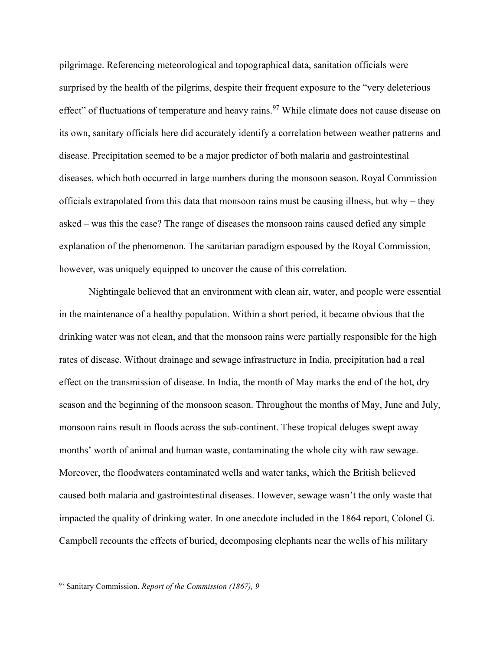pilgrimage. Referencing meteorological and topographical data, sanitation officials were surprised by the health of the pilgrims, despite their frequent exposure to the "very deleterious effect" of fluctuations of temperature and heavy rains.<sup>97</sup> While climate does not cause disease on its own, sanitary officials here did accurately identify a correlation between weather patterns and disease. Precipitation seemed to be a major predictor of both malaria and gastrointestinal diseases, which both occurred in large numbers during the monsoon season. Royal Commission officials extrapolated from this data that monsoon rains must be causing illness, but why – they asked – was this the case? The range of diseases the monsoon rains caused defied any simple explanation of the phenomenon. The sanitarian paradigm espoused by the Royal Commission, however, was uniquely equipped to uncover the cause of this correlation.

Nightingale believed that an environment with clean air, water, and people were essential in the maintenance of a healthy population. Within a short period, it became obvious that the drinking water was not clean, and that the monsoon rains were partially responsible for the high rates of disease. Without drainage and sewage infrastructure in India, precipitation had a real effect on the transmission of disease. In India, the month of May marks the end of the hot, dry season and the beginning of the monsoon season. Throughout the months of May, June and July, monsoon rains result in floods across the sub-continent. These tropical deluges swept away months' worth of animal and human waste, contaminating the whole city with raw sewage. Moreover, the floodwaters contaminated wells and water tanks, which the British believed caused both malaria and gastrointestinal diseases. However, sewage wasn't the only waste that impacted the quality of drinking water. In one anecdote included in the 1864 report, Colonel G. Campbell recounts the effects of buried, decomposing elephants near the wells of his military

<sup>97</sup> Sanitary Commission. *Report of the Commission (1867), 9*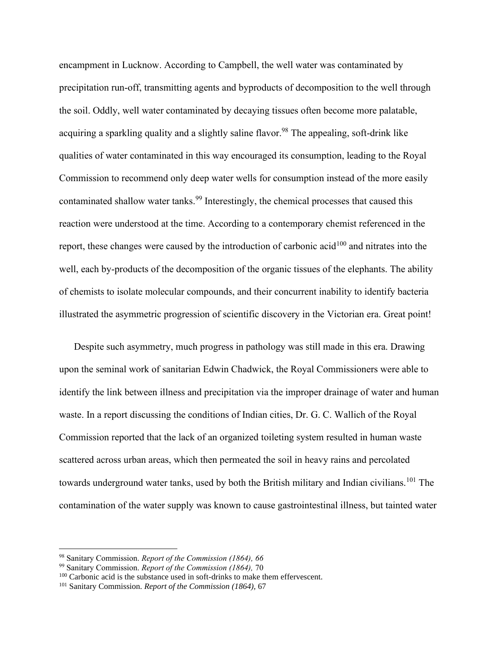encampment in Lucknow. According to Campbell, the well water was contaminated by precipitation run-off, transmitting agents and byproducts of decomposition to the well through the soil. Oddly, well water contaminated by decaying tissues often become more palatable, acquiring a sparkling quality and a slightly saline flavor.<sup>98</sup> The appealing, soft-drink like qualities of water contaminated in this way encouraged its consumption, leading to the Royal Commission to recommend only deep water wells for consumption instead of the more easily contaminated shallow water tanks.<sup>99</sup> Interestingly, the chemical processes that caused this reaction were understood at the time. According to a contemporary chemist referenced in the report, these changes were caused by the introduction of carbonic acid<sup>100</sup> and nitrates into the well, each by-products of the decomposition of the organic tissues of the elephants. The ability of chemists to isolate molecular compounds, and their concurrent inability to identify bacteria illustrated the asymmetric progression of scientific discovery in the Victorian era. Great point!

Despite such asymmetry, much progress in pathology was still made in this era. Drawing upon the seminal work of sanitarian Edwin Chadwick, the Royal Commissioners were able to identify the link between illness and precipitation via the improper drainage of water and human waste. In a report discussing the conditions of Indian cities, Dr. G. C. Wallich of the Royal Commission reported that the lack of an organized toileting system resulted in human waste scattered across urban areas, which then permeated the soil in heavy rains and percolated towards underground water tanks, used by both the British military and Indian civilians.<sup>101</sup> The contamination of the water supply was known to cause gastrointestinal illness, but tainted water

<sup>98</sup> Sanitary Commission. *Report of the Commission (1864), 66*

<sup>99</sup> Sanitary Commission. *Report of the Commission (1864),* 70

<sup>&</sup>lt;sup>100</sup> Carbonic acid is the substance used in soft-drinks to make them effervescent.

<sup>101</sup> Sanitary Commission. *Report of the Commission (1864),* 67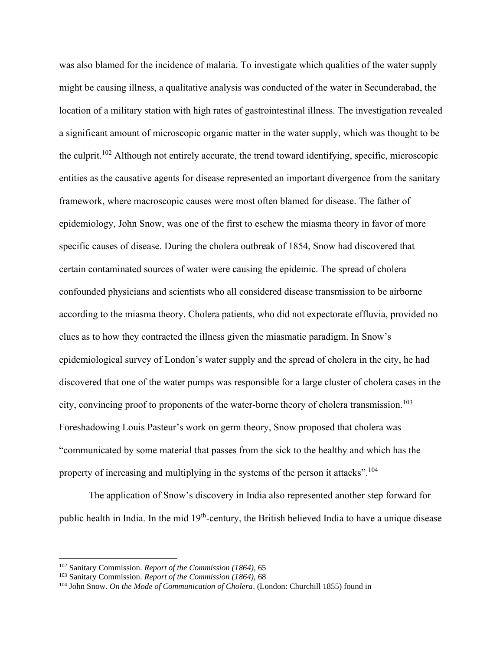was also blamed for the incidence of malaria. To investigate which qualities of the water supply might be causing illness, a qualitative analysis was conducted of the water in Secunderabad, the location of a military station with high rates of gastrointestinal illness. The investigation revealed a significant amount of microscopic organic matter in the water supply, which was thought to be the culprit.<sup>102</sup> Although not entirely accurate, the trend toward identifying, specific, microscopic entities as the causative agents for disease represented an important divergence from the sanitary framework, where macroscopic causes were most often blamed for disease. The father of epidemiology, John Snow, was one of the first to eschew the miasma theory in favor of more specific causes of disease. During the cholera outbreak of 1854, Snow had discovered that certain contaminated sources of water were causing the epidemic. The spread of cholera confounded physicians and scientists who all considered disease transmission to be airborne according to the miasma theory. Cholera patients, who did not expectorate effluvia, provided no clues as to how they contracted the illness given the miasmatic paradigm. In Snow's epidemiological survey of London's water supply and the spread of cholera in the city, he had discovered that one of the water pumps was responsible for a large cluster of cholera cases in the city, convincing proof to proponents of the water-borne theory of cholera transmission.<sup>103</sup> Foreshadowing Louis Pasteur's work on germ theory, Snow proposed that cholera was "communicated by some material that passes from the sick to the healthy and which has the property of increasing and multiplying in the systems of the person it attacks".<sup>104</sup>

The application of Snow's discovery in India also represented another step forward for public health in India. In the mid 19<sup>th</sup>-century, the British believed India to have a unique disease

<sup>102</sup> Sanitary Commission. *Report of the Commission (1864),* 65

<sup>103</sup> Sanitary Commission. *Report of the Commission (1864),* 68

<sup>104</sup> John Snow. *On the Mode of Communication of Cholera*. (London: Churchill 1855) found in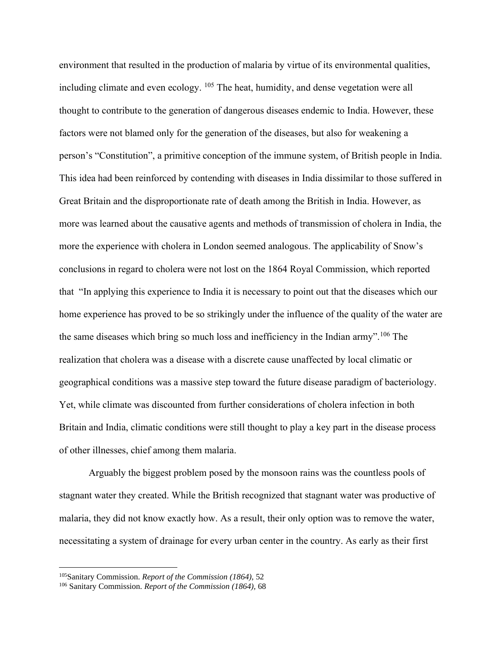environment that resulted in the production of malaria by virtue of its environmental qualities, including climate and even ecology. <sup>105</sup> The heat, humidity, and dense vegetation were all thought to contribute to the generation of dangerous diseases endemic to India. However, these factors were not blamed only for the generation of the diseases, but also for weakening a person's "Constitution", a primitive conception of the immune system, of British people in India. This idea had been reinforced by contending with diseases in India dissimilar to those suffered in Great Britain and the disproportionate rate of death among the British in India. However, as more was learned about the causative agents and methods of transmission of cholera in India, the more the experience with cholera in London seemed analogous. The applicability of Snow's conclusions in regard to cholera were not lost on the 1864 Royal Commission, which reported that "In applying this experience to India it is necessary to point out that the diseases which our home experience has proved to be so strikingly under the influence of the quality of the water are the same diseases which bring so much loss and inefficiency in the Indian army".<sup>106</sup> The realization that cholera was a disease with a discrete cause unaffected by local climatic or geographical conditions was a massive step toward the future disease paradigm of bacteriology. Yet, while climate was discounted from further considerations of cholera infection in both Britain and India, climatic conditions were still thought to play a key part in the disease process of other illnesses, chief among them malaria.

Arguably the biggest problem posed by the monsoon rains was the countless pools of stagnant water they created. While the British recognized that stagnant water was productive of malaria, they did not know exactly how. As a result, their only option was to remove the water, necessitating a system of drainage for every urban center in the country. As early as their first

<sup>105</sup>Sanitary Commission. *Report of the Commission (1864),* 52

<sup>106</sup> Sanitary Commission. *Report of the Commission (1864),* 68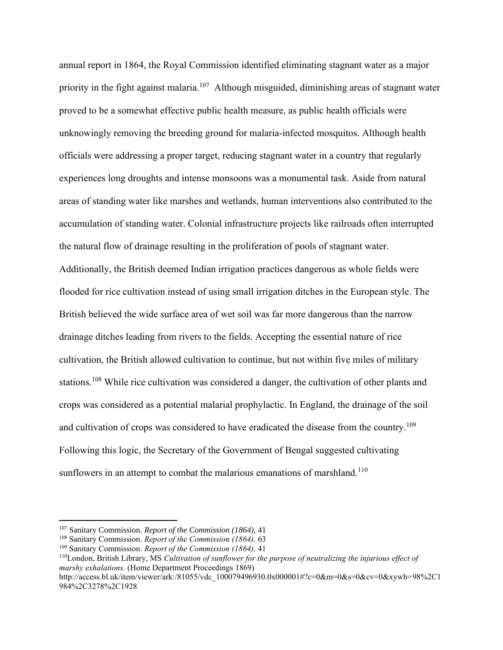annual report in 1864, the Royal Commission identified eliminating stagnant water as a major priority in the fight against malaria.<sup>107</sup> Although misguided, diminishing areas of stagnant water proved to be a somewhat effective public health measure, as public health officials were unknowingly removing the breeding ground for malaria-infected mosquitos. Although health officials were addressing a proper target, reducing stagnant water in a country that regularly experiences long droughts and intense monsoons was a monumental task. Aside from natural areas of standing water like marshes and wetlands, human interventions also contributed to the accumulation of standing water. Colonial infrastructure projects like railroads often interrupted the natural flow of drainage resulting in the proliferation of pools of stagnant water. Additionally, the British deemed Indian irrigation practices dangerous as whole fields were flooded for rice cultivation instead of using small irrigation ditches in the European style. The British believed the wide surface area of wet soil was far more dangerous than the narrow drainage ditches leading from rivers to the fields. Accepting the essential nature of rice cultivation, the British allowed cultivation to continue, but not within five miles of military stations.<sup>108</sup> While rice cultivation was considered a danger, the cultivation of other plants and crops was considered as a potential malarial prophylactic. In England, the drainage of the soil and cultivation of crops was considered to have eradicated the disease from the country.<sup>109</sup> Following this logic, the Secretary of the Government of Bengal suggested cultivating sunflowers in an attempt to combat the malarious emanations of marshland.<sup>110</sup>

<sup>107</sup> Sanitary Commission. *Report of the Commission (1864),* 41

<sup>108</sup> Sanitary Commission. *Report of the Commission (1864),* 63

<sup>109</sup> Sanitary Commission. *Report of the Commission (1864),* 41

<sup>110</sup>London, British Library, MS *Cultivation of sunflower for the purpose of neutralizing the injurious effect of marshy exhalations.* (Home Department Proceedings 1869)

http://access.bl.uk/item/viewer/ark:/81055/vdc\_100079496930.0x000001#?c=0&m=0&s=0&cv=0&xywh=98%2C1 984%2C3278%2C1928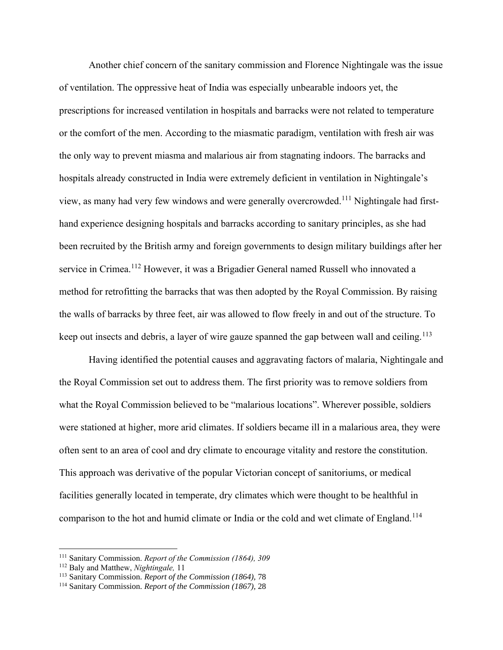Another chief concern of the sanitary commission and Florence Nightingale was the issue of ventilation. The oppressive heat of India was especially unbearable indoors yet, the prescriptions for increased ventilation in hospitals and barracks were not related to temperature or the comfort of the men. According to the miasmatic paradigm, ventilation with fresh air was the only way to prevent miasma and malarious air from stagnating indoors. The barracks and hospitals already constructed in India were extremely deficient in ventilation in Nightingale's view, as many had very few windows and were generally overcrowded.<sup>111</sup> Nightingale had firsthand experience designing hospitals and barracks according to sanitary principles, as she had been recruited by the British army and foreign governments to design military buildings after her service in Crimea.<sup>112</sup> However, it was a Brigadier General named Russell who innovated a method for retrofitting the barracks that was then adopted by the Royal Commission. By raising the walls of barracks by three feet, air was allowed to flow freely in and out of the structure. To keep out insects and debris, a layer of wire gauze spanned the gap between wall and ceiling.<sup>113</sup>

Having identified the potential causes and aggravating factors of malaria, Nightingale and the Royal Commission set out to address them. The first priority was to remove soldiers from what the Royal Commission believed to be "malarious locations". Wherever possible, soldiers were stationed at higher, more arid climates. If soldiers became ill in a malarious area, they were often sent to an area of cool and dry climate to encourage vitality and restore the constitution. This approach was derivative of the popular Victorian concept of sanitoriums, or medical facilities generally located in temperate, dry climates which were thought to be healthful in comparison to the hot and humid climate or India or the cold and wet climate of England.<sup>114</sup>

<sup>111</sup> Sanitary Commission. *Report of the Commission (1864), 309*

<sup>112</sup> Baly and Matthew, *Nightingale,* 11

<sup>113</sup> Sanitary Commission. *Report of the Commission (1864),* 78

<sup>114</sup> Sanitary Commission. *Report of the Commission (1867),* 28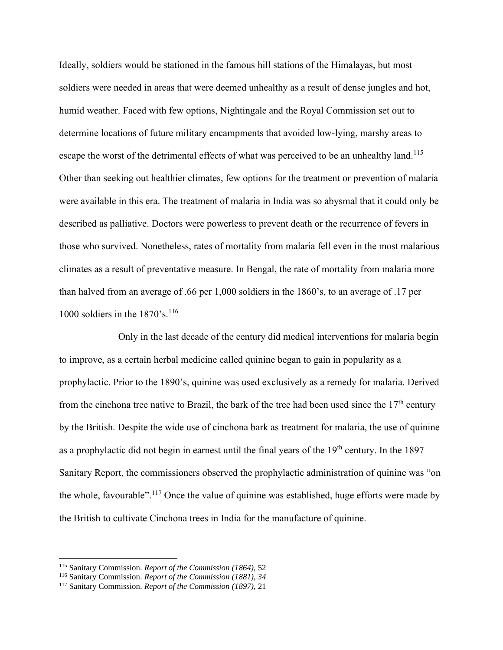Ideally, soldiers would be stationed in the famous hill stations of the Himalayas, but most soldiers were needed in areas that were deemed unhealthy as a result of dense jungles and hot, humid weather. Faced with few options, Nightingale and the Royal Commission set out to determine locations of future military encampments that avoided low-lying, marshy areas to escape the worst of the detrimental effects of what was perceived to be an unhealthy land.<sup>115</sup> Other than seeking out healthier climates, few options for the treatment or prevention of malaria were available in this era. The treatment of malaria in India was so abysmal that it could only be described as palliative. Doctors were powerless to prevent death or the recurrence of fevers in those who survived. Nonetheless, rates of mortality from malaria fell even in the most malarious climates as a result of preventative measure. In Bengal, the rate of mortality from malaria more than halved from an average of .66 per 1,000 soldiers in the 1860's, to an average of .17 per 1000 soldiers in the  $1870$ 's.<sup>116</sup>

Only in the last decade of the century did medical interventions for malaria begin to improve, as a certain herbal medicine called quinine began to gain in popularity as a prophylactic. Prior to the 1890's, quinine was used exclusively as a remedy for malaria. Derived from the cinchona tree native to Brazil, the bark of the tree had been used since the  $17<sup>th</sup>$  century by the British. Despite the wide use of cinchona bark as treatment for malaria, the use of quinine as a prophylactic did not begin in earnest until the final years of the 19<sup>th</sup> century. In the 1897 Sanitary Report, the commissioners observed the prophylactic administration of quinine was "on the whole, favourable".<sup>117</sup> Once the value of quinine was established, huge efforts were made by the British to cultivate Cinchona trees in India for the manufacture of quinine.

<sup>115</sup> Sanitary Commission. *Report of the Commission (1864),* 52

<sup>116</sup> Sanitary Commission. *Report of the Commission (1881), 34*

<sup>117</sup> Sanitary Commission. *Report of the Commission (1897),* 21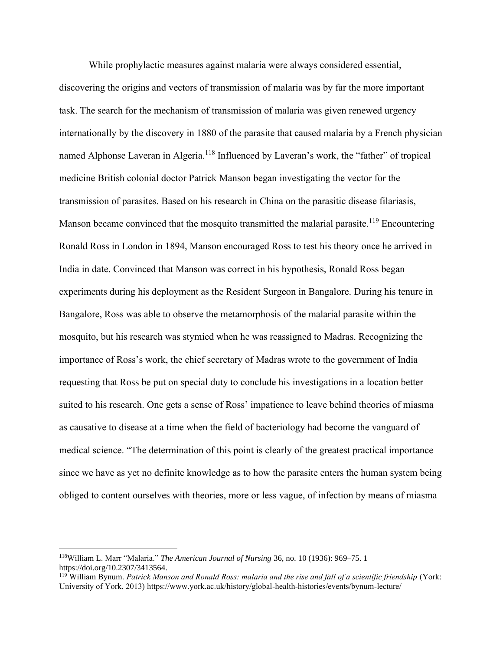While prophylactic measures against malaria were always considered essential,

discovering the origins and vectors of transmission of malaria was by far the more important task. The search for the mechanism of transmission of malaria was given renewed urgency internationally by the discovery in 1880 of the parasite that caused malaria by a French physician named Alphonse Laveran in Algeria.<sup>118</sup> Influenced by Laveran's work, the "father" of tropical medicine British colonial doctor Patrick Manson began investigating the vector for the transmission of parasites. Based on his research in China on the parasitic disease filariasis, Manson became convinced that the mosquito transmitted the malarial parasite.<sup>119</sup> Encountering Ronald Ross in London in 1894, Manson encouraged Ross to test his theory once he arrived in India in date. Convinced that Manson was correct in his hypothesis, Ronald Ross began experiments during his deployment as the Resident Surgeon in Bangalore. During his tenure in Bangalore, Ross was able to observe the metamorphosis of the malarial parasite within the mosquito, but his research was stymied when he was reassigned to Madras. Recognizing the importance of Ross's work, the chief secretary of Madras wrote to the government of India requesting that Ross be put on special duty to conclude his investigations in a location better suited to his research. One gets a sense of Ross' impatience to leave behind theories of miasma as causative to disease at a time when the field of bacteriology had become the vanguard of medical science. "The determination of this point is clearly of the greatest practical importance since we have as yet no definite knowledge as to how the parasite enters the human system being obliged to content ourselves with theories, more or less vague, of infection by means of miasma

<sup>118</sup>William L. Marr "Malaria." *The American Journal of Nursing* 36, no. 10 (1936): 969–75. 1 https://doi.org/10.2307/3413564.

<sup>119</sup> William Bynum. *Patrick Manson and Ronald Ross: malaria and the rise and fall of a scientific friendship* (York: University of York, 2013) https://www.york.ac.uk/history/global-health-histories/events/bynum-lecture/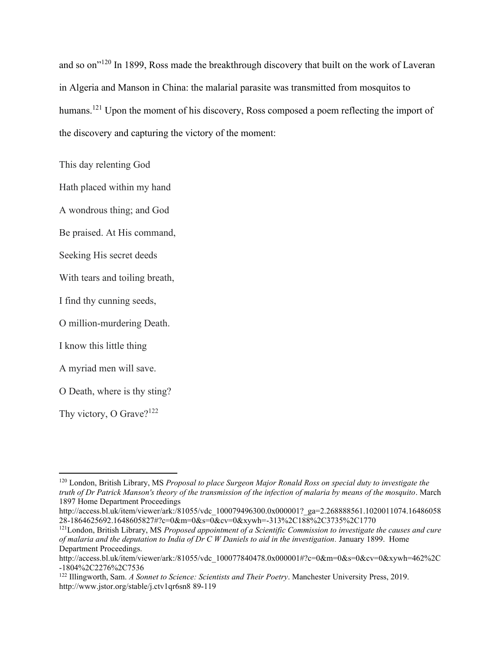and so on"<sup>120</sup> In 1899, Ross made the breakthrough discovery that built on the work of Laveran in Algeria and Manson in China: the malarial parasite was transmitted from mosquitos to humans.<sup>121</sup> Upon the moment of his discovery, Ross composed a poem reflecting the import of the discovery and capturing the victory of the moment:

This day relenting God

Hath placed within my hand

A wondrous thing; and God

Be praised. At His command,

Seeking His secret deeds

With tears and toiling breath,

I find thy cunning seeds,

O million-murdering Death.

I know this little thing

A myriad men will save.

O Death, where is thy sting?

Thy victory, O Grave?<sup>122</sup>

<sup>120</sup> London, British Library, MS *Proposal to place Surgeon Major Ronald Ross on special duty to investigate the truth of Dr Patrick Manson's theory of the transmission of the infection of malaria by means of the mosquito*. March 1897 Home Department Proceedings

http://access.bl.uk/item/viewer/ark:/81055/vdc 100079496300.0x000001? ga=2.268888561.1020011074.16486058 28-1864625692.1648605827#?c=0&m=0&s=0&cv=0&xywh=-313%2C188%2C3735%2C1770

<sup>121</sup>London, British Library, MS *Proposed appointment of a Scientific Commission to investigate the causes and cure of malaria and the deputation to India of Dr C W Daniels to aid in the investigation.* January 1899. Home Department Proceedings.

http://access.bl.uk/item/viewer/ark:/81055/vdc\_100077840478.0x000001#?c=0&m=0&s=0&cv=0&xywh=462%2C -1804%2C2276%2C7536

<sup>122</sup> Illingworth, Sam. *A Sonnet to Science: Scientists and Their Poetry*. Manchester University Press, 2019. http://www.jstor.org/stable/j.ctv1qr6sn8 89-119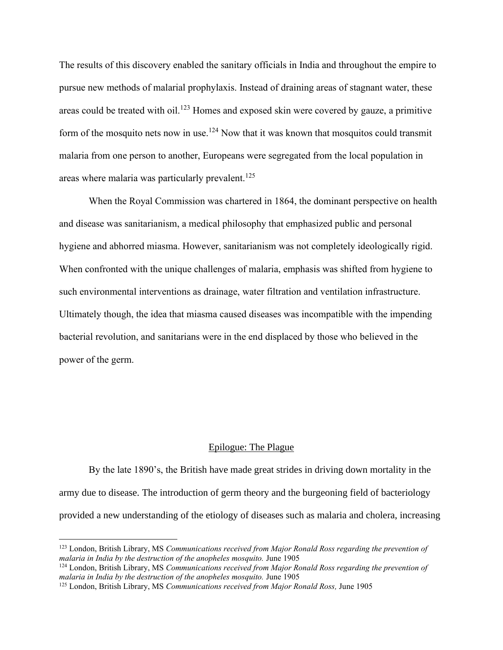The results of this discovery enabled the sanitary officials in India and throughout the empire to pursue new methods of malarial prophylaxis. Instead of draining areas of stagnant water, these areas could be treated with oil.<sup>123</sup> Homes and exposed skin were covered by gauze, a primitive form of the mosquito nets now in use.<sup>124</sup> Now that it was known that mosquitos could transmit malaria from one person to another, Europeans were segregated from the local population in areas where malaria was particularly prevalent.<sup>125</sup>

When the Royal Commission was chartered in 1864, the dominant perspective on health and disease was sanitarianism, a medical philosophy that emphasized public and personal hygiene and abhorred miasma. However, sanitarianism was not completely ideologically rigid. When confronted with the unique challenges of malaria, emphasis was shifted from hygiene to such environmental interventions as drainage, water filtration and ventilation infrastructure. Ultimately though, the idea that miasma caused diseases was incompatible with the impending bacterial revolution, and sanitarians were in the end displaced by those who believed in the power of the germ.

#### Epilogue: The Plague

By the late 1890's, the British have made great strides in driving down mortality in the army due to disease. The introduction of germ theory and the burgeoning field of bacteriology provided a new understanding of the etiology of diseases such as malaria and cholera, increasing

<sup>123</sup> London, British Library, MS *Communications received from Major Ronald Ross regarding the prevention of malaria in India by the destruction of the anopheles mosquito.* June 1905

<sup>124</sup> London, British Library, MS *Communications received from Major Ronald Ross regarding the prevention of malaria in India by the destruction of the anopheles mosquito.* June 1905

<sup>125</sup> London, British Library, MS *Communications received from Major Ronald Ross,* June 1905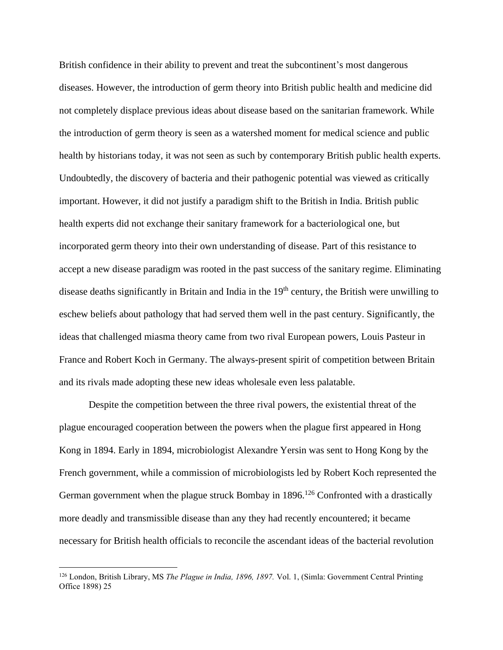British confidence in their ability to prevent and treat the subcontinent's most dangerous diseases. However, the introduction of germ theory into British public health and medicine did not completely displace previous ideas about disease based on the sanitarian framework. While the introduction of germ theory is seen as a watershed moment for medical science and public health by historians today, it was not seen as such by contemporary British public health experts. Undoubtedly, the discovery of bacteria and their pathogenic potential was viewed as critically important. However, it did not justify a paradigm shift to the British in India. British public health experts did not exchange their sanitary framework for a bacteriological one, but incorporated germ theory into their own understanding of disease. Part of this resistance to accept a new disease paradigm was rooted in the past success of the sanitary regime. Eliminating disease deaths significantly in Britain and India in the  $19<sup>th</sup>$  century, the British were unwilling to eschew beliefs about pathology that had served them well in the past century. Significantly, the ideas that challenged miasma theory came from two rival European powers, Louis Pasteur in France and Robert Koch in Germany. The always-present spirit of competition between Britain and its rivals made adopting these new ideas wholesale even less palatable.

Despite the competition between the three rival powers, the existential threat of the plague encouraged cooperation between the powers when the plague first appeared in Hong Kong in 1894. Early in 1894, microbiologist Alexandre Yersin was sent to Hong Kong by the French government, while a commission of microbiologists led by Robert Koch represented the German government when the plague struck Bombay in  $1896$ .<sup>126</sup> Confronted with a drastically more deadly and transmissible disease than any they had recently encountered; it became necessary for British health officials to reconcile the ascendant ideas of the bacterial revolution

<sup>126</sup> London, British Library, MS *The Plague in India, 1896, 1897.* Vol. 1, (Simla: Government Central Printing Office 1898) 25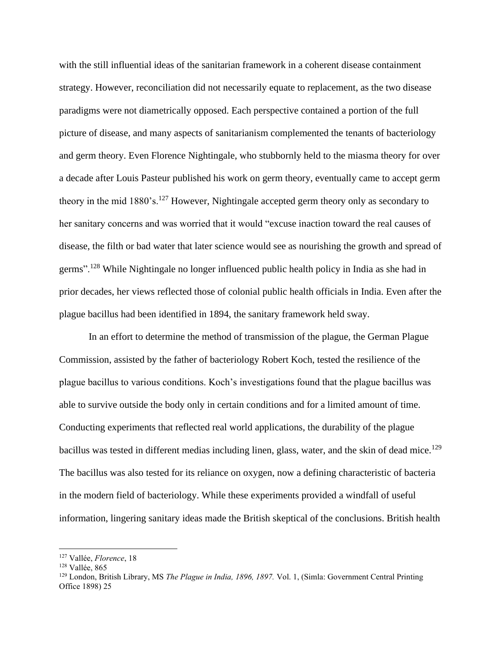with the still influential ideas of the sanitarian framework in a coherent disease containment strategy. However, reconciliation did not necessarily equate to replacement, as the two disease paradigms were not diametrically opposed. Each perspective contained a portion of the full picture of disease, and many aspects of sanitarianism complemented the tenants of bacteriology and germ theory. Even Florence Nightingale, who stubbornly held to the miasma theory for over a decade after Louis Pasteur published his work on germ theory, eventually came to accept germ theory in the mid  $1880$ 's.<sup>127</sup> However, Nightingale accepted germ theory only as secondary to her sanitary concerns and was worried that it would "excuse inaction toward the real causes of disease, the filth or bad water that later science would see as nourishing the growth and spread of germs".<sup>128</sup> While Nightingale no longer influenced public health policy in India as she had in prior decades, her views reflected those of colonial public health officials in India. Even after the plague bacillus had been identified in 1894, the sanitary framework held sway.

In an effort to determine the method of transmission of the plague, the German Plague Commission, assisted by the father of bacteriology Robert Koch, tested the resilience of the plague bacillus to various conditions. Koch's investigations found that the plague bacillus was able to survive outside the body only in certain conditions and for a limited amount of time. Conducting experiments that reflected real world applications, the durability of the plague bacillus was tested in different medias including linen, glass, water, and the skin of dead mice.<sup>129</sup> The bacillus was also tested for its reliance on oxygen, now a defining characteristic of bacteria in the modern field of bacteriology. While these experiments provided a windfall of useful information, lingering sanitary ideas made the British skeptical of the conclusions. British health

<sup>127</sup> Vallée, *Florence*, 18

<sup>128</sup> Vallée, 865

<sup>129</sup> London, British Library, MS *The Plague in India, 1896, 1897.* Vol. 1, (Simla: Government Central Printing Office 1898) 25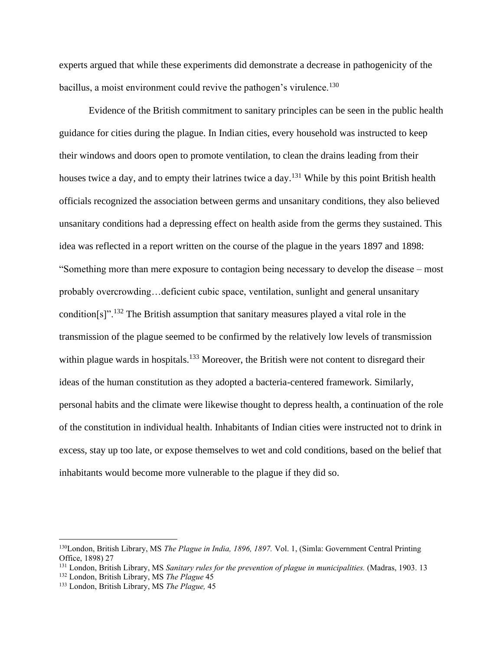experts argued that while these experiments did demonstrate a decrease in pathogenicity of the bacillus, a moist environment could revive the pathogen's virulence.<sup>130</sup>

Evidence of the British commitment to sanitary principles can be seen in the public health guidance for cities during the plague. In Indian cities, every household was instructed to keep their windows and doors open to promote ventilation, to clean the drains leading from their houses twice a day, and to empty their latrines twice a day.<sup>131</sup> While by this point British health officials recognized the association between germs and unsanitary conditions, they also believed unsanitary conditions had a depressing effect on health aside from the germs they sustained. This idea was reflected in a report written on the course of the plague in the years 1897 and 1898: "Something more than mere exposure to contagion being necessary to develop the disease – most probably overcrowding…deficient cubic space, ventilation, sunlight and general unsanitary condition[s]".<sup>132</sup> The British assumption that sanitary measures played a vital role in the transmission of the plague seemed to be confirmed by the relatively low levels of transmission within plague wards in hospitals.<sup>133</sup> Moreover, the British were not content to disregard their ideas of the human constitution as they adopted a bacteria-centered framework. Similarly, personal habits and the climate were likewise thought to depress health, a continuation of the role of the constitution in individual health. Inhabitants of Indian cities were instructed not to drink in excess, stay up too late, or expose themselves to wet and cold conditions, based on the belief that inhabitants would become more vulnerable to the plague if they did so.

<sup>130</sup>London, British Library, MS *The Plague in India, 1896, 1897.* Vol. 1, (Simla: Government Central Printing Office, 1898) 27

<sup>131</sup> London, British Library, MS *Sanitary rules for the prevention of plague in municipalities.* (Madras, 1903. 13

<sup>132</sup> London, British Library, MS *The Plague* 45

<sup>133</sup> London, British Library, MS *The Plague,* 45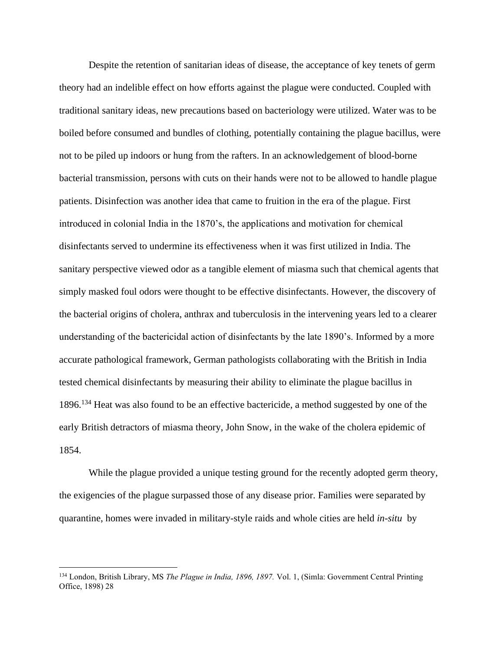Despite the retention of sanitarian ideas of disease, the acceptance of key tenets of germ theory had an indelible effect on how efforts against the plague were conducted. Coupled with traditional sanitary ideas, new precautions based on bacteriology were utilized. Water was to be boiled before consumed and bundles of clothing, potentially containing the plague bacillus, were not to be piled up indoors or hung from the rafters. In an acknowledgement of blood-borne bacterial transmission, persons with cuts on their hands were not to be allowed to handle plague patients. Disinfection was another idea that came to fruition in the era of the plague. First introduced in colonial India in the 1870's, the applications and motivation for chemical disinfectants served to undermine its effectiveness when it was first utilized in India. The sanitary perspective viewed odor as a tangible element of miasma such that chemical agents that simply masked foul odors were thought to be effective disinfectants. However, the discovery of the bacterial origins of cholera, anthrax and tuberculosis in the intervening years led to a clearer understanding of the bactericidal action of disinfectants by the late 1890's. Informed by a more accurate pathological framework, German pathologists collaborating with the British in India tested chemical disinfectants by measuring their ability to eliminate the plague bacillus in 1896.<sup>134</sup> Heat was also found to be an effective bactericide, a method suggested by one of the early British detractors of miasma theory, John Snow, in the wake of the cholera epidemic of 1854.

While the plague provided a unique testing ground for the recently adopted germ theory, the exigencies of the plague surpassed those of any disease prior. Families were separated by quarantine, homes were invaded in military-style raids and whole cities are held *in-situ* by

<sup>134</sup> London, British Library, MS *The Plague in India, 1896, 1897.* Vol. 1, (Simla: Government Central Printing Office, 1898) 28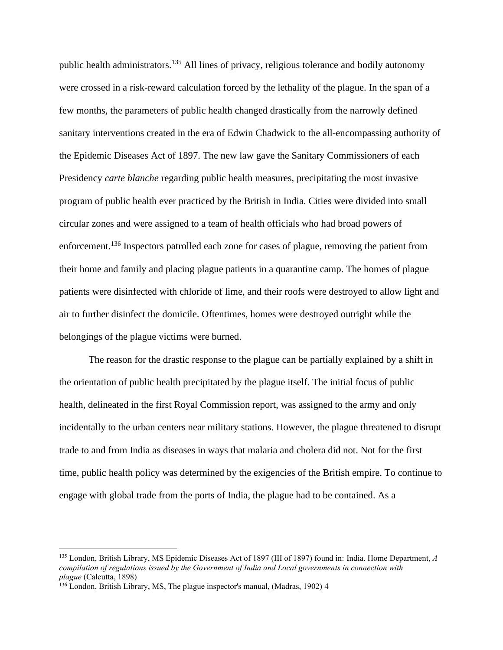public health administrators.<sup>135</sup> All lines of privacy, religious tolerance and bodily autonomy were crossed in a risk-reward calculation forced by the lethality of the plague. In the span of a few months, the parameters of public health changed drastically from the narrowly defined sanitary interventions created in the era of Edwin Chadwick to the all-encompassing authority of the Epidemic Diseases Act of 1897. The new law gave the Sanitary Commissioners of each Presidency *carte blanche* regarding public health measures, precipitating the most invasive program of public health ever practiced by the British in India. Cities were divided into small circular zones and were assigned to a team of health officials who had broad powers of enforcement.<sup>136</sup> Inspectors patrolled each zone for cases of plague, removing the patient from their home and family and placing plague patients in a quarantine camp. The homes of plague patients were disinfected with chloride of lime, and their roofs were destroyed to allow light and air to further disinfect the domicile. Oftentimes, homes were destroyed outright while the belongings of the plague victims were burned.

The reason for the drastic response to the plague can be partially explained by a shift in the orientation of public health precipitated by the plague itself. The initial focus of public health, delineated in the first Royal Commission report, was assigned to the army and only incidentally to the urban centers near military stations. However, the plague threatened to disrupt trade to and from India as diseases in ways that malaria and cholera did not. Not for the first time, public health policy was determined by the exigencies of the British empire. To continue to engage with global trade from the ports of India, the plague had to be contained. As a

<sup>135</sup> London, British Library, MS Epidemic Diseases Act of 1897 (III of 1897) found in: India. Home Department, *A compilation of regulations issued by the Government of India and Local governments in connection with plague* (Calcutta, 1898)

<sup>&</sup>lt;sup>136</sup> London, British Library, MS, The plague inspector's manual, (Madras, 1902) 4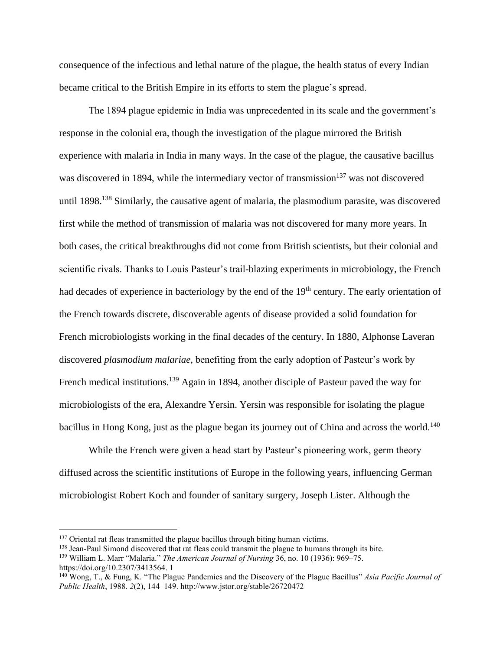consequence of the infectious and lethal nature of the plague, the health status of every Indian became critical to the British Empire in its efforts to stem the plague's spread.

The 1894 plague epidemic in India was unprecedented in its scale and the government's response in the colonial era, though the investigation of the plague mirrored the British experience with malaria in India in many ways. In the case of the plague, the causative bacillus was discovered in 1894, while the intermediary vector of transmission<sup>137</sup> was not discovered until 1898.<sup>138</sup> Similarly, the causative agent of malaria, the plasmodium parasite, was discovered first while the method of transmission of malaria was not discovered for many more years. In both cases, the critical breakthroughs did not come from British scientists, but their colonial and scientific rivals. Thanks to Louis Pasteur's trail-blazing experiments in microbiology, the French had decades of experience in bacteriology by the end of the 19<sup>th</sup> century. The early orientation of the French towards discrete, discoverable agents of disease provided a solid foundation for French microbiologists working in the final decades of the century. In 1880, Alphonse Laveran discovered *plasmodium malariae,* benefiting from the early adoption of Pasteur's work by French medical institutions.<sup>139</sup> Again in 1894, another disciple of Pasteur paved the way for microbiologists of the era, Alexandre Yersin. Yersin was responsible for isolating the plague bacillus in Hong Kong, just as the plague began its journey out of China and across the world.<sup>140</sup>

While the French were given a head start by Pasteur's pioneering work, germ theory diffused across the scientific institutions of Europe in the following years, influencing German microbiologist Robert Koch and founder of sanitary surgery, Joseph Lister. Although the

<sup>&</sup>lt;sup>137</sup> Oriental rat fleas transmitted the plague bacillus through biting human victims.

<sup>&</sup>lt;sup>138</sup> Jean-Paul Simond discovered that rat fleas could transmit the plague to humans through its bite.

<sup>139</sup> William L. Marr "Malaria." *The American Journal of Nursing* 36, no. 10 (1936): 969–75. https://doi.org/10.2307/3413564. 1

<sup>140</sup> Wong, T., & Fung, K. "The Plague Pandemics and the Discovery of the Plague Bacillus" *Asia Pacific Journal of Public Health*, 1988. *2*(2), 144–149. http://www.jstor.org/stable/26720472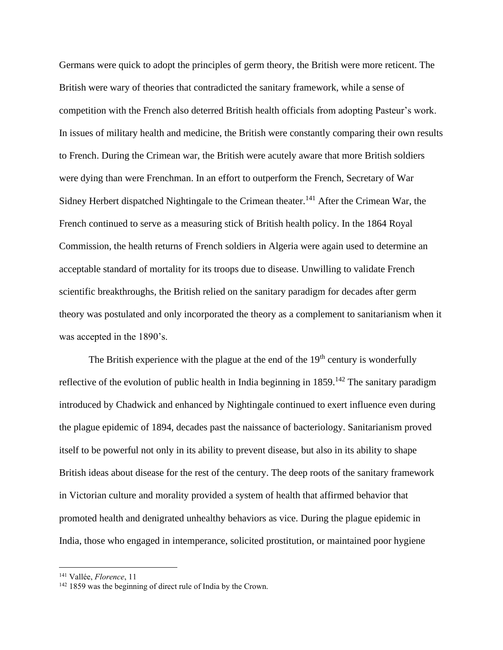Germans were quick to adopt the principles of germ theory, the British were more reticent. The British were wary of theories that contradicted the sanitary framework, while a sense of competition with the French also deterred British health officials from adopting Pasteur's work. In issues of military health and medicine, the British were constantly comparing their own results to French. During the Crimean war, the British were acutely aware that more British soldiers were dying than were Frenchman. In an effort to outperform the French, Secretary of War Sidney Herbert dispatched Nightingale to the Crimean theater.<sup>141</sup> After the Crimean War, the French continued to serve as a measuring stick of British health policy. In the 1864 Royal Commission, the health returns of French soldiers in Algeria were again used to determine an acceptable standard of mortality for its troops due to disease. Unwilling to validate French scientific breakthroughs, the British relied on the sanitary paradigm for decades after germ theory was postulated and only incorporated the theory as a complement to sanitarianism when it was accepted in the 1890's.

The British experience with the plague at the end of the  $19<sup>th</sup>$  century is wonderfully reflective of the evolution of public health in India beginning in  $1859$ .<sup>142</sup> The sanitary paradigm introduced by Chadwick and enhanced by Nightingale continued to exert influence even during the plague epidemic of 1894, decades past the naissance of bacteriology. Sanitarianism proved itself to be powerful not only in its ability to prevent disease, but also in its ability to shape British ideas about disease for the rest of the century. The deep roots of the sanitary framework in Victorian culture and morality provided a system of health that affirmed behavior that promoted health and denigrated unhealthy behaviors as vice. During the plague epidemic in India, those who engaged in intemperance, solicited prostitution, or maintained poor hygiene

<sup>141</sup> Vallée, *Florence*, 11

<sup>142</sup> 1859 was the beginning of direct rule of India by the Crown.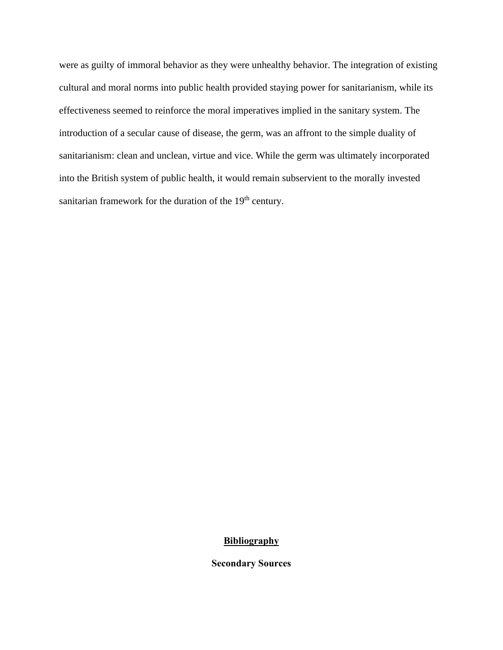were as guilty of immoral behavior as they were unhealthy behavior. The integration of existing cultural and moral norms into public health provided staying power for sanitarianism, while its effectiveness seemed to reinforce the moral imperatives implied in the sanitary system. The introduction of a secular cause of disease, the germ, was an affront to the simple duality of sanitarianism: clean and unclean, virtue and vice. While the germ was ultimately incorporated into the British system of public health, it would remain subservient to the morally invested sanitarian framework for the duration of the 19<sup>th</sup> century.

# **Bibliography**

**Secondary Sources**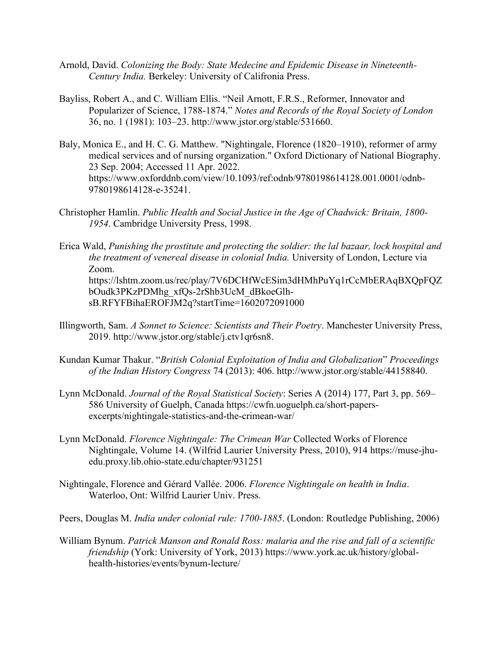- Arnold, David. *Colonizing the Body: State Medecine and Epidemic Disease in Nineteenth-Century India.* Berkeley: University of Califronia Press.
- Bayliss, Robert A., and C. William Ellis. "Neil Arnott, F.R.S., Reformer, Innovator and Popularizer of Science, 1788-1874." *Notes and Records of the Royal Society of London* 36, no. 1 (1981): 103–23. http://www.jstor.org/stable/531660.
- Baly, Monica E., and H. C. G. Matthew. "Nightingale, Florence (1820–1910), reformer of army medical services and of nursing organization." Oxford Dictionary of National Biography. 23 Sep. 2004; Accessed 11 Apr. 2022. https://www.oxforddnb.com/view/10.1093/ref:odnb/9780198614128.001.0001/odnb-9780198614128-e-35241.
- Christopher Hamlin. *Public Health and Social Justice in the Age of Chadwick: Britain, 1800- 1954*. Cambridge University Press, 1998.
- Erica Wald, *Punishing the prostitute and protecting the soldier: the lal bazaar, lock hospital and the treatment of venereal disease in colonial India.* University of London, Lecture via Zoom. https://lshtm.zoom.us/rec/play/7V6DCHfWcESim3dHMhPuYq1rCcMbERAqBXQpFQZ bOudk3PKzPDMhg\_xfQs-2rShb3UcM\_dBkoeGlhsB.RFYFBihaEROFJM2q?startTime=1602072091000
- Illingworth, Sam. *A Sonnet to Science: Scientists and Their Poetry*. Manchester University Press, 2019. http://www.jstor.org/stable/j.ctv1qr6sn8.
- Kundan Kumar Thakur. "*British Colonial Exploitation of India and Globalization*" *Proceedings of the Indian History Congress* 74 (2013): 406. http://www.jstor.org/stable/44158840.
- Lynn McDonald. *Journal of the Royal Statistical Society*: Series A (2014) 177, Part 3, pp. 569– 586 University of Guelph, Canada https://cwfn.uoguelph.ca/short-papersexcerpts/nightingale-statistics-and-the-crimean-war/
- Lynn McDonald. *Florence Nightingale: The Crimean War* Collected Works of Florence Nightingale, Volume 14. (Wilfrid Laurier University Press, 2010), 914 https://muse-jhuedu.proxy.lib.ohio-state.edu/chapter/931251
- Nightingale, Florence and Gérard Vallée. 2006. *Florence Nightingale on health in India*. Waterloo, Ont: Wilfrid Laurier Univ. Press.
- Peers, Douglas M. *India under colonial rule: 1700-1885*. (London: Routledge Publishing, 2006)
- William Bynum. *Patrick Manson and Ronald Ross: malaria and the rise and fall of a scientific friendship* (York: University of York, 2013) https://www.york.ac.uk/history/globalhealth-histories/events/bynum-lecture/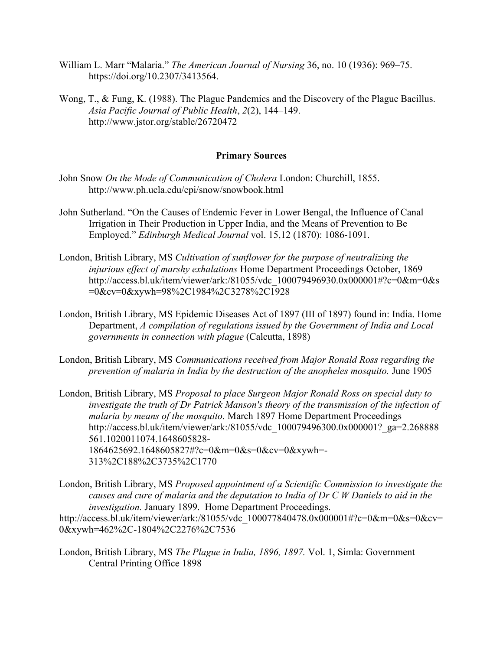- William L. Marr "Malaria." *The American Journal of Nursing* 36, no. 10 (1936): 969–75. https://doi.org/10.2307/3413564.
- Wong, T., & Fung, K. (1988). The Plague Pandemics and the Discovery of the Plague Bacillus. *Asia Pacific Journal of Public Health*, *2*(2), 144–149. http://www.jstor.org/stable/26720472

## **Primary Sources**

- John Snow *On the Mode of Communication of Cholera* London: Churchill, 1855. http://www.ph.ucla.edu/epi/snow/snowbook.html
- John Sutherland. "On the Causes of Endemic Fever in Lower Bengal, the Influence of Canal Irrigation in Their Production in Upper India, and the Means of Prevention to Be Employed." *Edinburgh Medical Journal* vol. 15,12 (1870): 1086-1091.
- London, British Library, MS *Cultivation of sunflower for the purpose of neutralizing the injurious effect of marshy exhalations* Home Department Proceedings October, 1869 http://access.bl.uk/item/viewer/ark:/81055/vdc 100079496930.0x000001#?c=0&m=0&s =0&cv=0&xywh=98%2C1984%2C3278%2C1928
- London, British Library, MS Epidemic Diseases Act of 1897 (III of 1897) found in: India. Home Department, *A compilation of regulations issued by the Government of India and Local governments in connection with plague* (Calcutta, 1898)
- London, British Library, MS *Communications received from Major Ronald Ross regarding the prevention of malaria in India by the destruction of the anopheles mosquito.* June 1905
- London, British Library, MS *Proposal to place Surgeon Major Ronald Ross on special duty to investigate the truth of Dr Patrick Manson's theory of the transmission of the infection of malaria by means of the mosquito.* March 1897 Home Department Proceedings http://access.bl.uk/item/viewer/ark:/81055/vdc 100079496300.0x000001? ga=2.268888 561.1020011074.1648605828- 1864625692.1648605827#?c=0&m=0&s=0&cv=0&xywh=- 313%2C188%2C3735%2C1770
- London, British Library, MS *Proposed appointment of a Scientific Commission to investigate the causes and cure of malaria and the deputation to India of Dr C W Daniels to aid in the investigation.* January 1899. Home Department Proceedings. http://access.bl.uk/item/viewer/ark:/81055/vdc 100077840478.0x000001#?c=0&m=0&s=0&cv=

0&xywh=462%2C-1804%2C2276%2C7536

London, British Library, MS *The Plague in India, 1896, 1897.* Vol. 1, Simla: Government Central Printing Office 1898